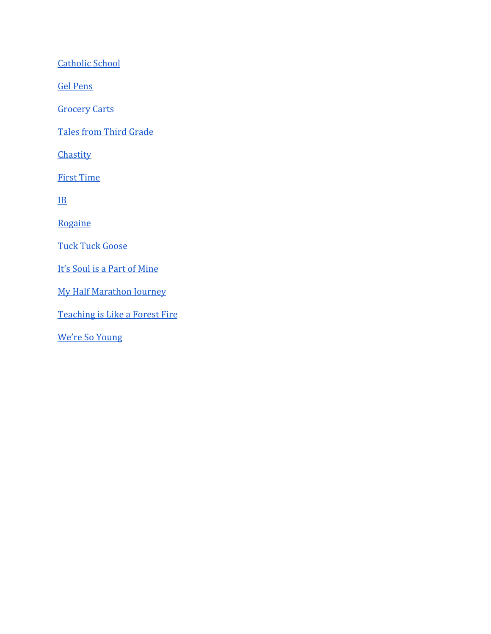[Catholic School](#page-1-0)

[Gel Pens](#page-3-0)

**[Grocery Carts](#page-7-0)** 

[Tales from Third Grade](#page-12-0)

**[Chastity](#page-17-0)** 

[First Time](#page-24-0)

[IB](#page-34-0)

[Rogaine](#page-40-0)

[Tuck Tuck Goose](#page-40-0)

[It's Soul is a Part of Mine](#page-58-0)

[My Half Marathon Journey](#page-65-0)

[Teaching is Like a Forest Fire](#page-79-0)

[We're So Young](#page-84-0)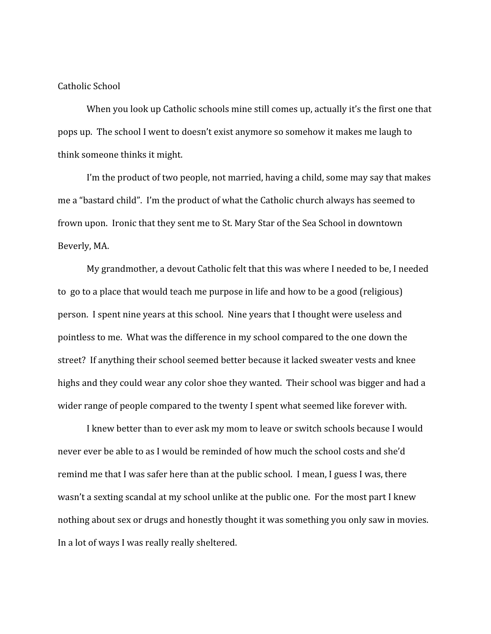## <span id="page-1-0"></span>Catholic School

When you look up Catholic schools mine still comes up, actually it's the first one that pops up. The school I went to doesn't exist anymore so somehow it makes me laugh to think someone thinks it might.

I'm the product of two people, not married, having a child, some may say that makes me a "bastard child". I'm the product of what the Catholic church always has seemed to frown upon. Ironic that they sent me to St. Mary Star of the Sea School in downtown Beverly, MA.

My grandmother, a devout Catholic felt that this was where I needed to be, I needed to go to a place that would teach me purpose in life and how to be a good (religious) person. I spent nine years at this school. Nine years that I thought were useless and pointless to me. What was the difference in my school compared to the one down the street? If anything their school seemed better because it lacked sweater vests and knee highs and they could wear any color shoe they wanted. Their school was bigger and had a wider range of people compared to the twenty I spent what seemed like forever with.

I knew better than to ever ask my mom to leave or switch schools because I would never ever be able to as I would be reminded of how much the school costs and she'd remind me that I was safer here than at the public school. I mean, I guess I was, there wasn't a sexting scandal at my school unlike at the public one. For the most part I knew nothing about sex or drugs and honestly thought it was something you only saw in movies. In a lot of ways I was really really sheltered.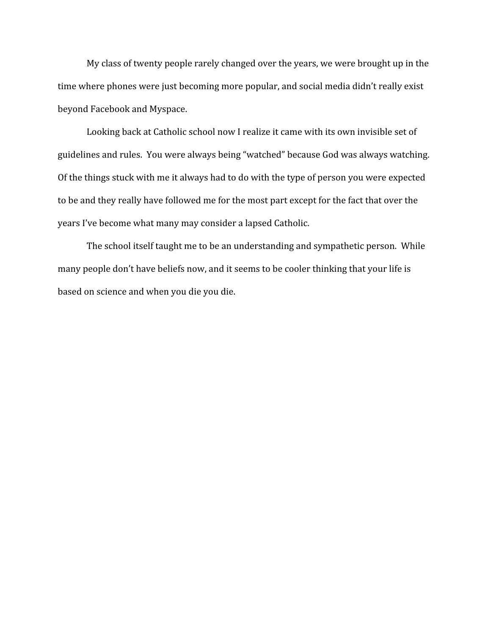My class of twenty people rarely changed over the years, we were brought up in the time where phones were just becoming more popular, and social media didn't really exist beyond Facebook and Myspace.

Looking back at Catholic school now I realize it came with its own invisible set of guidelines and rules. You were always being "watched" because God was always watching. Of the things stuck with me it always had to do with the type of person you were expected to be and they really have followed me for the most part except for the fact that over the years I've become what many may consider a lapsed Catholic.

The school itself taught me to be an understanding and sympathetic person. While many people don't have beliefs now, and it seems to be cooler thinking that your life is based on science and when you die you die.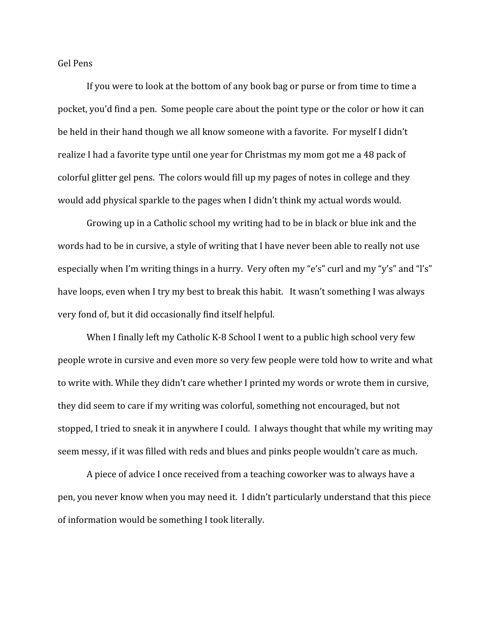<span id="page-3-0"></span>Gel Pens

If you were to look at the bottom of any book bag or purse or from time to time a pocket, you'd find a pen. Some people care about the point type or the color or how it can be held in their hand though we all know someone with a favorite. For myself I didn't realize I had a favorite type until one year for Christmas my mom got me a 48 pack of colorful glitter gel pens. The colors would fill up my pages of notes in college and they would add physical sparkle to the pages when I didn't think my actual words would.

Growing up in a Catholic school my writing had to be in black or blue ink and the words had to be in cursive, a style of writing that I have never been able to really not use especially when I'm writing things in a hurry. Very often my "e's" curl and my "y's" and "l's" have loops, even when I try my best to break this habit. It wasn't something I was always very fond of, but it did occasionally find itself helpful.

When I finally left my Catholic K-8 School I went to a public high school very few people wrote in cursive and even more so very few people were told how to write and what to write with. While they didn't care whether I printed my words or wrote them in cursive, they did seem to care if my writing was colorful, something not encouraged, but not stopped, I tried to sneak it in anywhere I could. I always thought that while my writing may seem messy, if it was filled with reds and blues and pinks people wouldn't care as much.

A piece of advice I once received from a teaching coworker was to always have a pen, you never know when you may need it. I didn't particularly understand that this piece of information would be something I took literally.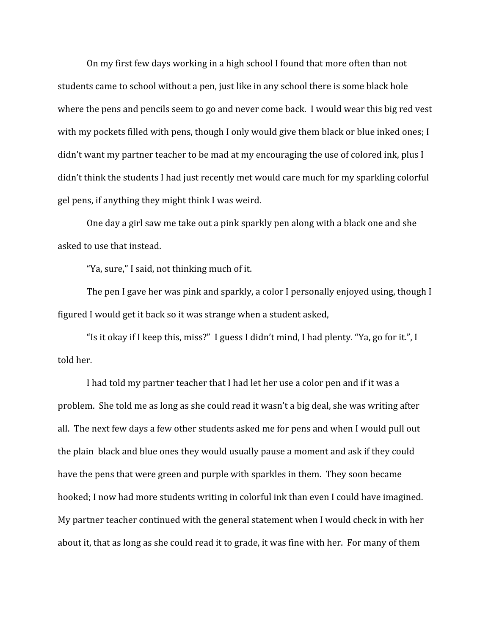On my first few days working in a high school I found that more often than not students came to school without a pen, just like in any school there is some black hole where the pens and pencils seem to go and never come back. I would wear this big red vest with my pockets filled with pens, though I only would give them black or blue inked ones; I didn't want my partner teacher to be mad at my encouraging the use of colored ink, plus I didn't think the students I had just recently met would care much for my sparkling colorful gel pens, if anything they might think I was weird.

One day a girl saw me take out a pink sparkly pen along with a black one and she asked to use that instead.

"Ya, sure," I said, not thinking much of it.

The pen I gave her was pink and sparkly, a color I personally enjoyed using, though I figured I would get it back so it was strange when a student asked,

"Is it okay if I keep this, miss?" I guess I didn't mind, I had plenty. "Ya, go for it.", I told her.

I had told my partner teacher that I had let her use a color pen and if it was a problem. She told me as long as she could read it wasn't a big deal, she was writing after all. The next few days a few other students asked me for pens and when I would pull out the plain black and blue ones they would usually pause a moment and ask if they could have the pens that were green and purple with sparkles in them. They soon became hooked; I now had more students writing in colorful ink than even I could have imagined. My partner teacher continued with the general statement when I would check in with her about it, that as long as she could read it to grade, it was fine with her. For many of them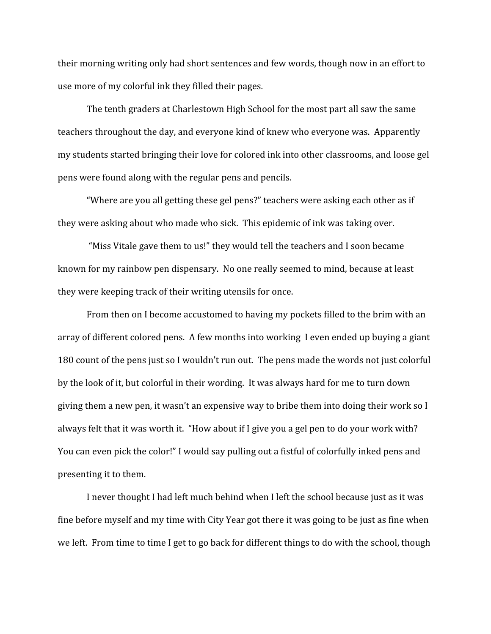their morning writing only had short sentences and few words, though now in an effort to use more of my colorful ink they filled their pages.

The tenth graders at Charlestown High School for the most part all saw the same teachers throughout the day, and everyone kind of knew who everyone was. Apparently my students started bringing their love for colored ink into other classrooms, and loose gel pens were found along with the regular pens and pencils.

"Where are you all getting these gel pens?" teachers were asking each other as if they were asking about who made who sick. This epidemic of ink was taking over.

 "Miss Vitale gave them to us!" they would tell the teachers and I soon became known for my rainbow pen dispensary. No one really seemed to mind, because at least they were keeping track of their writing utensils for once.

From then on I become accustomed to having my pockets filled to the brim with an array of different colored pens. A few months into working I even ended up buying a giant 180 count of the pens just so I wouldn't run out. The pens made the words not just colorful by the look of it, but colorful in their wording. It was always hard for me to turn down giving them a new pen, it wasn't an expensive way to bribe them into doing their work so I always felt that it was worth it. "How about if I give you a gel pen to do your work with? You can even pick the color!" I would say pulling out a fistful of colorfully inked pens and presenting it to them.

I never thought I had left much behind when I left the school because just as it was fine before myself and my time with City Year got there it was going to be just as fine when we left. From time to time I get to go back for different things to do with the school, though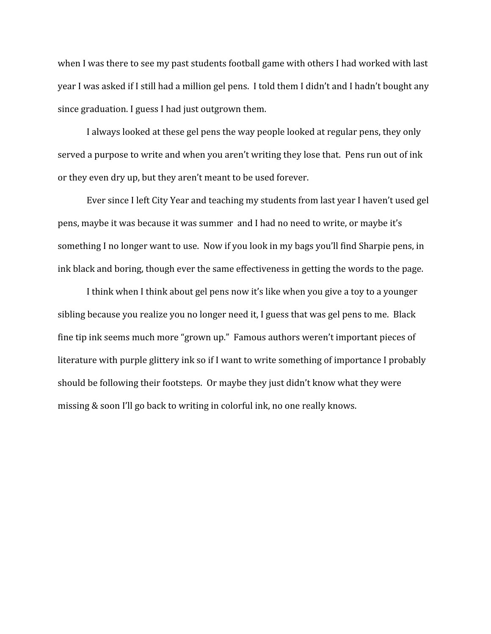when I was there to see my past students football game with others I had worked with last year I was asked if I still had a million gel pens. I told them I didn't and I hadn't bought any since graduation. I guess I had just outgrown them.

I always looked at these gel pens the way people looked at regular pens, they only served a purpose to write and when you aren't writing they lose that. Pens run out of ink or they even dry up, but they aren't meant to be used forever.

Ever since I left City Year and teaching my students from last year I haven't used gel pens, maybe it was because it was summer and I had no need to write, or maybe it's something I no longer want to use. Now if you look in my bags you'll find Sharpie pens, in ink black and boring, though ever the same effectiveness in getting the words to the page.

I think when I think about gel pens now it's like when you give a toy to a younger sibling because you realize you no longer need it, I guess that was gel pens to me. Black fine tip ink seems much more "grown up." Famous authors weren't important pieces of literature with purple glittery ink so if I want to write something of importance I probably should be following their footsteps. Or maybe they just didn't know what they were missing & soon I'll go back to writing in colorful ink, no one really knows.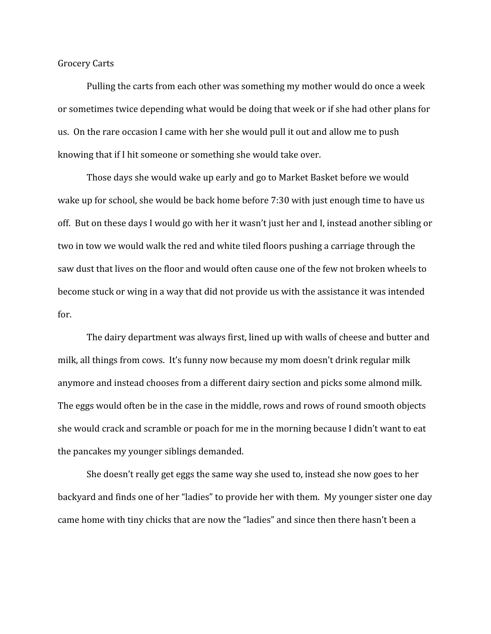<span id="page-7-0"></span>Grocery Carts

Pulling the carts from each other was something my mother would do once a week or sometimes twice depending what would be doing that week or if she had other plans for us. On the rare occasion I came with her she would pull it out and allow me to push knowing that if I hit someone or something she would take over.

Those days she would wake up early and go to Market Basket before we would wake up for school, she would be back home before 7:30 with just enough time to have us off. But on these days I would go with her it wasn't just her and I, instead another sibling or two in tow we would walk the red and white tiled floors pushing a carriage through the saw dust that lives on the floor and would often cause one of the few not broken wheels to become stuck or wing in a way that did not provide us with the assistance it was intended for.

The dairy department was always first, lined up with walls of cheese and butter and milk, all things from cows. It's funny now because my mom doesn't drink regular milk anymore and instead chooses from a different dairy section and picks some almond milk. The eggs would often be in the case in the middle, rows and rows of round smooth objects she would crack and scramble or poach for me in the morning because I didn't want to eat the pancakes my younger siblings demanded.

She doesn't really get eggs the same way she used to, instead she now goes to her backyard and finds one of her "ladies" to provide her with them. My younger sister one day came home with tiny chicks that are now the "ladies" and since then there hasn't been a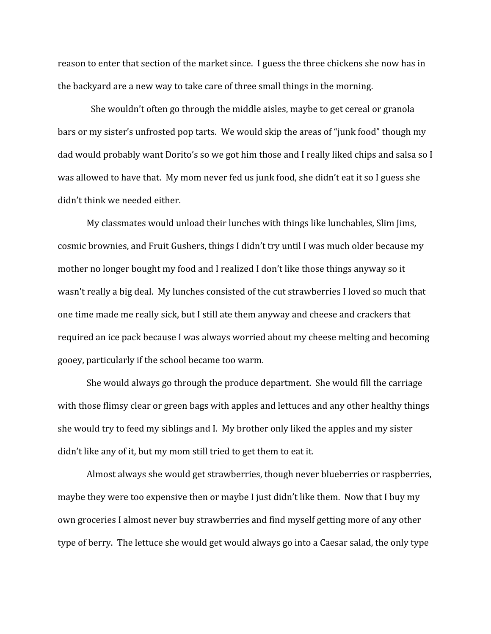reason to enter that section of the market since. I guess the three chickens she now has in the backyard are a new way to take care of three small things in the morning.

 She wouldn't often go through the middle aisles, maybe to get cereal or granola bars or my sister's unfrosted pop tarts. We would skip the areas of "junk food" though my dad would probably want Dorito's so we got him those and I really liked chips and salsa so I was allowed to have that. My mom never fed us junk food, she didn't eat it so I guess she didn't think we needed either.

My classmates would unload their lunches with things like lunchables, Slim Jims, cosmic brownies, and Fruit Gushers, things I didn't try until I was much older because my mother no longer bought my food and I realized I don't like those things anyway so it wasn't really a big deal. My lunches consisted of the cut strawberries I loved so much that one time made me really sick, but I still ate them anyway and cheese and crackers that required an ice pack because I was always worried about my cheese melting and becoming gooey, particularly if the school became too warm.

She would always go through the produce department. She would fill the carriage with those flimsy clear or green bags with apples and lettuces and any other healthy things she would try to feed my siblings and I. My brother only liked the apples and my sister didn't like any of it, but my mom still tried to get them to eat it.

Almost always she would get strawberries, though never blueberries or raspberries, maybe they were too expensive then or maybe I just didn't like them. Now that I buy my own groceries I almost never buy strawberries and find myself getting more of any other type of berry. The lettuce she would get would always go into a Caesar salad, the only type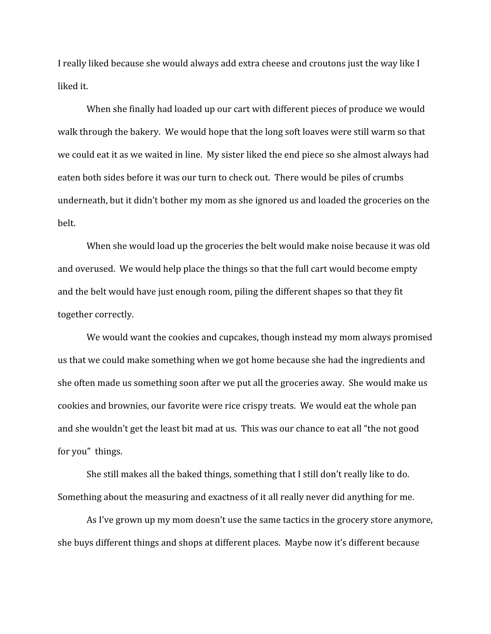I really liked because she would always add extra cheese and croutons just the way like I liked it.

When she finally had loaded up our cart with different pieces of produce we would walk through the bakery. We would hope that the long soft loaves were still warm so that we could eat it as we waited in line. My sister liked the end piece so she almost always had eaten both sides before it was our turn to check out. There would be piles of crumbs underneath, but it didn't bother my mom as she ignored us and loaded the groceries on the belt.

When she would load up the groceries the belt would make noise because it was old and overused. We would help place the things so that the full cart would become empty and the belt would have just enough room, piling the different shapes so that they fit together correctly.

We would want the cookies and cupcakes, though instead my mom always promised us that we could make something when we got home because she had the ingredients and she often made us something soon after we put all the groceries away. She would make us cookies and brownies, our favorite were rice crispy treats. We would eat the whole pan and she wouldn't get the least bit mad at us. This was our chance to eat all "the not good for you" things.

She still makes all the baked things, something that I still don't really like to do. Something about the measuring and exactness of it all really never did anything for me.

As I've grown up my mom doesn't use the same tactics in the grocery store anymore, she buys different things and shops at different places. Maybe now it's different because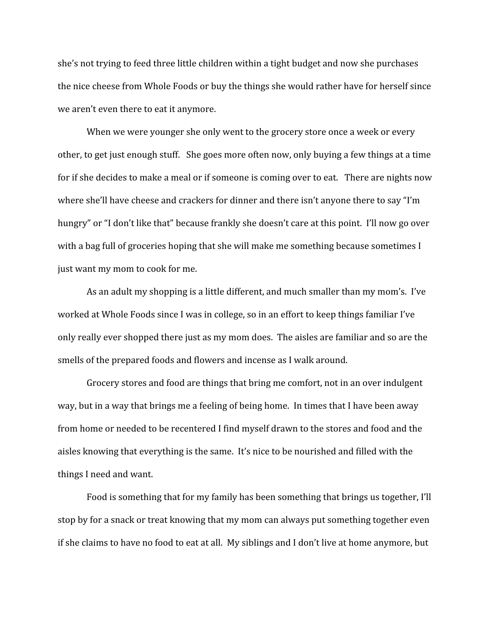she's not trying to feed three little children within a tight budget and now she purchases the nice cheese from Whole Foods or buy the things she would rather have for herself since we aren't even there to eat it anymore.

When we were younger she only went to the grocery store once a week or every other, to get just enough stuff. She goes more often now, only buying a few things at a time for if she decides to make a meal or if someone is coming over to eat. There are nights now where she'll have cheese and crackers for dinner and there isn't anyone there to say "I'm hungry" or "I don't like that" because frankly she doesn't care at this point. I'll now go over with a bag full of groceries hoping that she will make me something because sometimes I just want my mom to cook for me.

As an adult my shopping is a little different, and much smaller than my mom's. I've worked at Whole Foods since I was in college, so in an effort to keep things familiar I've only really ever shopped there just as my mom does. The aisles are familiar and so are the smells of the prepared foods and flowers and incense as I walk around.

Grocery stores and food are things that bring me comfort, not in an over indulgent way, but in a way that brings me a feeling of being home. In times that I have been away from home or needed to be recentered I find myself drawn to the stores and food and the aisles knowing that everything is the same. It's nice to be nourished and filled with the things I need and want.

Food is something that for my family has been something that brings us together, I'll stop by for a snack or treat knowing that my mom can always put something together even if she claims to have no food to eat at all. My siblings and I don't live at home anymore, but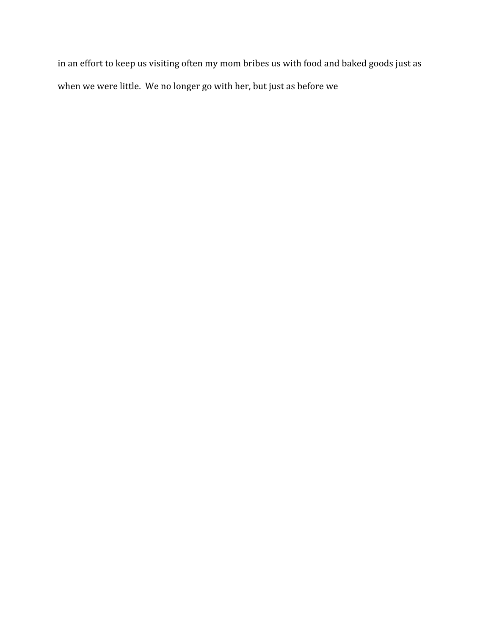in an effort to keep us visiting often my mom bribes us with food and baked goods just as when we were little. We no longer go with her, but just as before we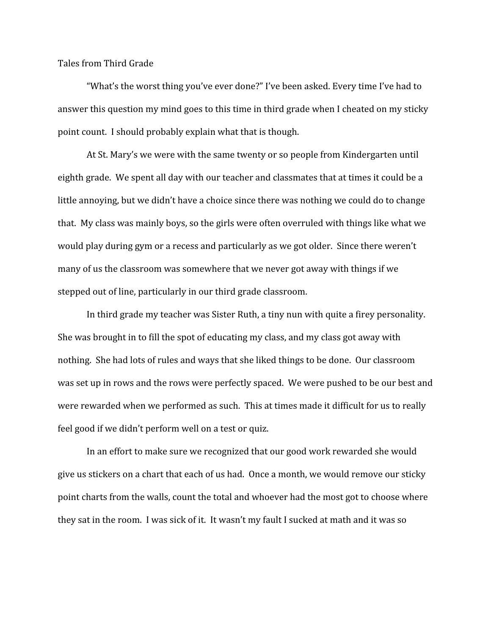<span id="page-12-0"></span>Tales from Third Grade

"What's the worst thing you've ever done?" I've been asked. Every time I've had to answer this question my mind goes to this time in third grade when I cheated on my sticky point count. I should probably explain what that is though.

At St. Mary's we were with the same twenty or so people from Kindergarten until eighth grade. We spent all day with our teacher and classmates that at times it could be a little annoying, but we didn't have a choice since there was nothing we could do to change that. My class was mainly boys, so the girls were often overruled with things like what we would play during gym or a recess and particularly as we got older. Since there weren't many of us the classroom was somewhere that we never got away with things if we stepped out of line, particularly in our third grade classroom.

In third grade my teacher was Sister Ruth, a tiny nun with quite a firey personality. She was brought in to fill the spot of educating my class, and my class got away with nothing. She had lots of rules and ways that she liked things to be done. Our classroom was set up in rows and the rows were perfectly spaced. We were pushed to be our best and were rewarded when we performed as such. This at times made it difficult for us to really feel good if we didn't perform well on a test or quiz.

In an effort to make sure we recognized that our good work rewarded she would give us stickers on a chart that each of us had. Once a month, we would remove our sticky point charts from the walls, count the total and whoever had the most got to choose where they sat in the room. I was sick of it. It wasn't my fault I sucked at math and it was so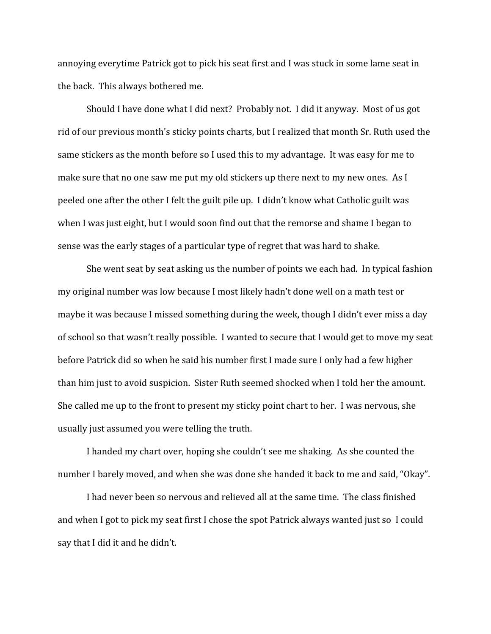annoying everytime Patrick got to pick his seat first and I was stuck in some lame seat in the back. This always bothered me.

Should I have done what I did next? Probably not. I did it anyway. Most of us got rid of our previous month's sticky points charts, but I realized that month Sr. Ruth used the same stickers as the month before so I used this to my advantage. It was easy for me to make sure that no one saw me put my old stickers up there next to my new ones. As I peeled one after the other I felt the guilt pile up. I didn't know what Catholic guilt was when I was just eight, but I would soon find out that the remorse and shame I began to sense was the early stages of a particular type of regret that was hard to shake.

She went seat by seat asking us the number of points we each had. In typical fashion my original number was low because I most likely hadn't done well on a math test or maybe it was because I missed something during the week, though I didn't ever miss a day of school so that wasn't really possible. I wanted to secure that I would get to move my seat before Patrick did so when he said his number first I made sure I only had a few higher than him just to avoid suspicion. Sister Ruth seemed shocked when I told her the amount. She called me up to the front to present my sticky point chart to her. I was nervous, she usually just assumed you were telling the truth.

I handed my chart over, hoping she couldn't see me shaking. As she counted the number I barely moved, and when she was done she handed it back to me and said, "Okay".

I had never been so nervous and relieved all at the same time. The class finished and when I got to pick my seat first I chose the spot Patrick always wanted just so I could say that I did it and he didn't.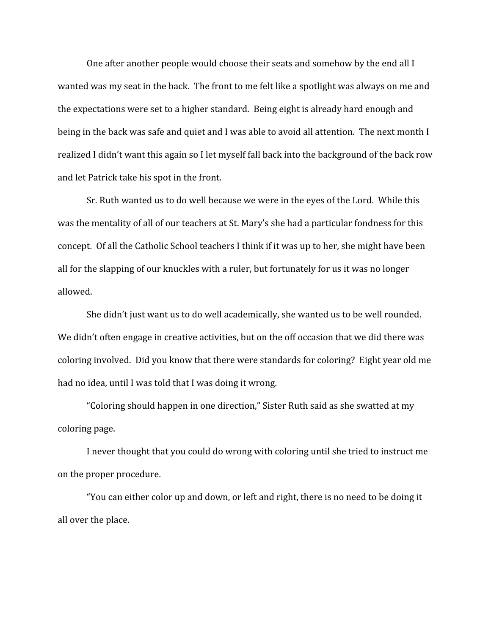One after another people would choose their seats and somehow by the end all I wanted was my seat in the back. The front to me felt like a spotlight was always on me and the expectations were set to a higher standard. Being eight is already hard enough and being in the back was safe and quiet and I was able to avoid all attention. The next month I realized I didn't want this again so I let myself fall back into the background of the back row and let Patrick take his spot in the front.

Sr. Ruth wanted us to do well because we were in the eyes of the Lord. While this was the mentality of all of our teachers at St. Mary's she had a particular fondness for this concept. Of all the Catholic School teachers I think if it was up to her, she might have been all for the slapping of our knuckles with a ruler, but fortunately for us it was no longer allowed.

She didn't just want us to do well academically, she wanted us to be well rounded. We didn't often engage in creative activities, but on the off occasion that we did there was coloring involved. Did you know that there were standards for coloring? Eight year old me had no idea, until I was told that I was doing it wrong.

"Coloring should happen in one direction," Sister Ruth said as she swatted at my coloring page.

I never thought that you could do wrong with coloring until she tried to instruct me on the proper procedure.

"You can either color up and down, or left and right, there is no need to be doing it all over the place.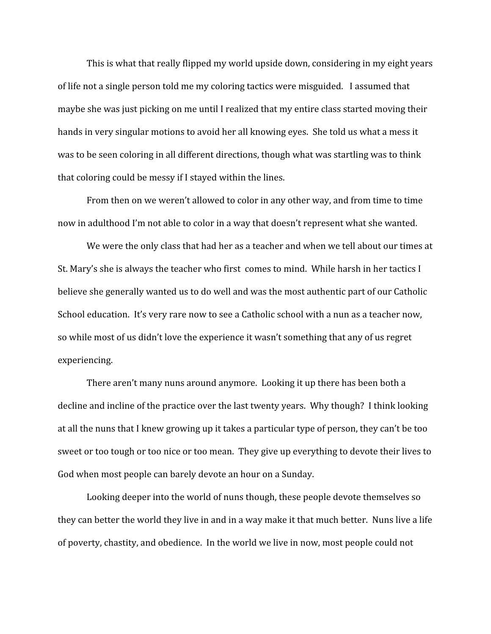This is what that really flipped my world upside down, considering in my eight years of life not a single person told me my coloring tactics were misguided. I assumed that maybe she was just picking on me until I realized that my entire class started moving their hands in very singular motions to avoid her all knowing eyes. She told us what a mess it was to be seen coloring in all different directions, though what was startling was to think that coloring could be messy if I stayed within the lines.

From then on we weren't allowed to color in any other way, and from time to time now in adulthood I'm not able to color in a way that doesn't represent what she wanted.

We were the only class that had her as a teacher and when we tell about our times at St. Mary's she is always the teacher who first comes to mind. While harsh in her tactics I believe she generally wanted us to do well and was the most authentic part of our Catholic School education. It's very rare now to see a Catholic school with a nun as a teacher now, so while most of us didn't love the experience it wasn't something that any of us regret experiencing.

There aren't many nuns around anymore. Looking it up there has been both a decline and incline of the practice over the last twenty years. Why though? I think looking at all the nuns that I knew growing up it takes a particular type of person, they can't be too sweet or too tough or too nice or too mean. They give up everything to devote their lives to God when most people can barely devote an hour on a Sunday.

Looking deeper into the world of nuns though, these people devote themselves so they can better the world they live in and in a way make it that much better. Nuns live a life of poverty, chastity, and obedience. In the world we live in now, most people could not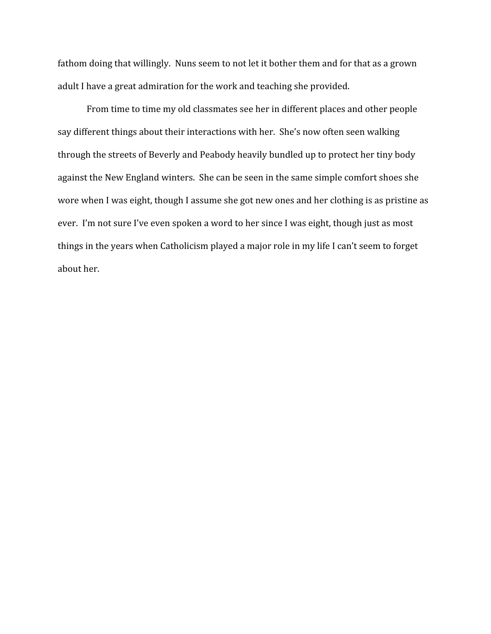fathom doing that willingly. Nuns seem to not let it bother them and for that as a grown adult I have a great admiration for the work and teaching she provided.

From time to time my old classmates see her in different places and other people say different things about their interactions with her. She's now often seen walking through the streets of Beverly and Peabody heavily bundled up to protect her tiny body against the New England winters. She can be seen in the same simple comfort shoes she wore when I was eight, though I assume she got new ones and her clothing is as pristine as ever. I'm not sure I've even spoken a word to her since I was eight, though just as most things in the years when Catholicism played a major role in my life I can't seem to forget about her.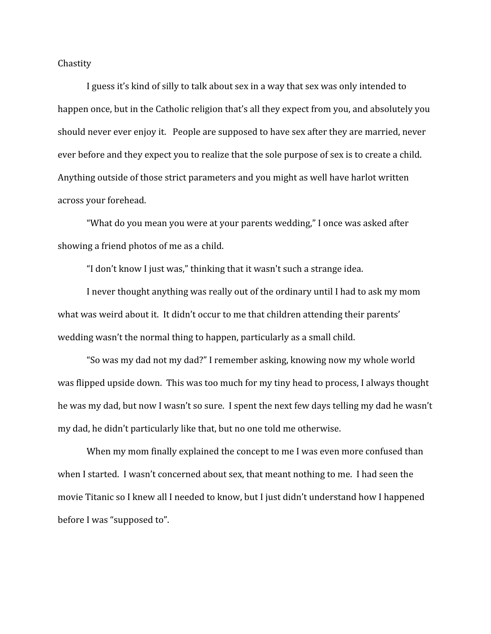<span id="page-17-0"></span>**Chastity** 

I guess it's kind of silly to talk about sex in a way that sex was only intended to happen once, but in the Catholic religion that's all they expect from you, and absolutely you should never ever enjoy it. People are supposed to have sex after they are married, never ever before and they expect you to realize that the sole purpose of sex is to create a child. Anything outside of those strict parameters and you might as well have harlot written across your forehead.

"What do you mean you were at your parents wedding," I once was asked after showing a friend photos of me as a child.

"I don't know I just was," thinking that it wasn't such a strange idea.

I never thought anything was really out of the ordinary until I had to ask my mom what was weird about it. It didn't occur to me that children attending their parents' wedding wasn't the normal thing to happen, particularly as a small child.

"So was my dad not my dad?" I remember asking, knowing now my whole world was flipped upside down. This was too much for my tiny head to process, I always thought he was my dad, but now I wasn't so sure. I spent the next few days telling my dad he wasn't my dad, he didn't particularly like that, but no one told me otherwise.

When my mom finally explained the concept to me I was even more confused than when I started. I wasn't concerned about sex, that meant nothing to me. I had seen the movie Titanic so I knew all I needed to know, but I just didn't understand how I happened before I was "supposed to".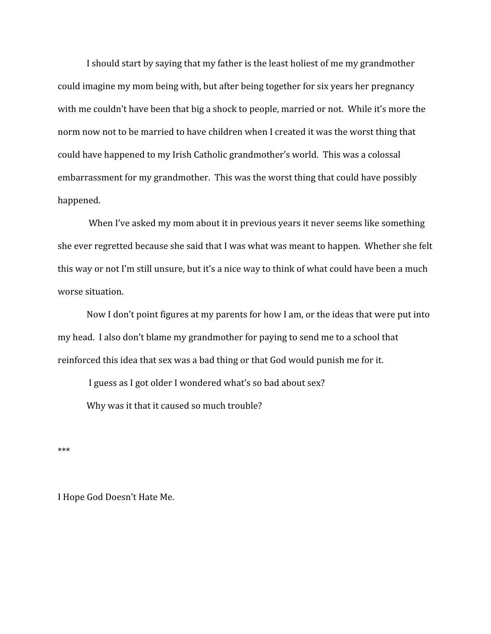I should start by saying that my father is the least holiest of me my grandmother could imagine my mom being with, but after being together for six years her pregnancy with me couldn't have been that big a shock to people, married or not. While it's more the norm now not to be married to have children when I created it was the worst thing that could have happened to my Irish Catholic grandmother's world. This was a colossal embarrassment for my grandmother. This was the worst thing that could have possibly happened.

 When I've asked my mom about it in previous years it never seems like something she ever regretted because she said that I was what was meant to happen. Whether she felt this way or not I'm still unsure, but it's a nice way to think of what could have been a much worse situation.

Now I don't point figures at my parents for how I am, or the ideas that were put into my head. I also don't blame my grandmother for paying to send me to a school that reinforced this idea that sex was a bad thing or that God would punish me for it.

 I guess as I got older I wondered what's so bad about sex? Why was it that it caused so much trouble?

\*\*\*

I Hope God Doesn't Hate Me.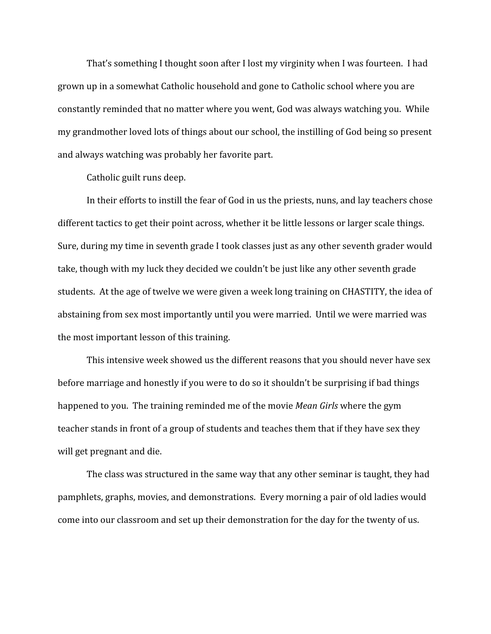That's something I thought soon after I lost my virginity when I was fourteen. I had grown up in a somewhat Catholic household and gone to Catholic school where you are constantly reminded that no matter where you went, God was always watching you. While my grandmother loved lots of things about our school, the instilling of God being so present and always watching was probably her favorite part.

Catholic guilt runs deep.

In their efforts to instill the fear of God in us the priests, nuns, and lay teachers chose different tactics to get their point across, whether it be little lessons or larger scale things. Sure, during my time in seventh grade I took classes just as any other seventh grader would take, though with my luck they decided we couldn't be just like any other seventh grade students. At the age of twelve we were given a week long training on CHASTITY, the idea of abstaining from sex most importantly until you were married. Until we were married was the most important lesson of this training.

This intensive week showed us the different reasons that you should never have sex before marriage and honestly if you were to do so it shouldn't be surprising if bad things happened to you. The training reminded me of the movie *Mean Girls* where the gym teacher stands in front of a group of students and teaches them that if they have sex they will get pregnant and die.

The class was structured in the same way that any other seminar is taught, they had pamphlets, graphs, movies, and demonstrations. Every morning a pair of old ladies would come into our classroom and set up their demonstration for the day for the twenty of us.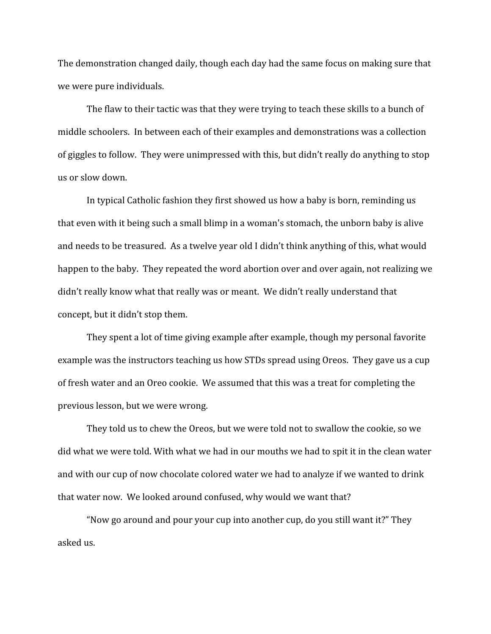The demonstration changed daily, though each day had the same focus on making sure that we were pure individuals.

The flaw to their tactic was that they were trying to teach these skills to a bunch of middle schoolers. In between each of their examples and demonstrations was a collection of giggles to follow. They were unimpressed with this, but didn't really do anything to stop us or slow down.

In typical Catholic fashion they first showed us how a baby is born, reminding us that even with it being such a small blimp in a woman's stomach, the unborn baby is alive and needs to be treasured. As a twelve year old I didn't think anything of this, what would happen to the baby. They repeated the word abortion over and over again, not realizing we didn't really know what that really was or meant. We didn't really understand that concept, but it didn't stop them.

They spent a lot of time giving example after example, though my personal favorite example was the instructors teaching us how STDs spread using Oreos. They gave us a cup of fresh water and an Oreo cookie. We assumed that this was a treat for completing the previous lesson, but we were wrong.

They told us to chew the Oreos, but we were told not to swallow the cookie, so we did what we were told. With what we had in our mouths we had to spit it in the clean water and with our cup of now chocolate colored water we had to analyze if we wanted to drink that water now. We looked around confused, why would we want that?

"Now go around and pour your cup into another cup, do you still want it?" They asked us.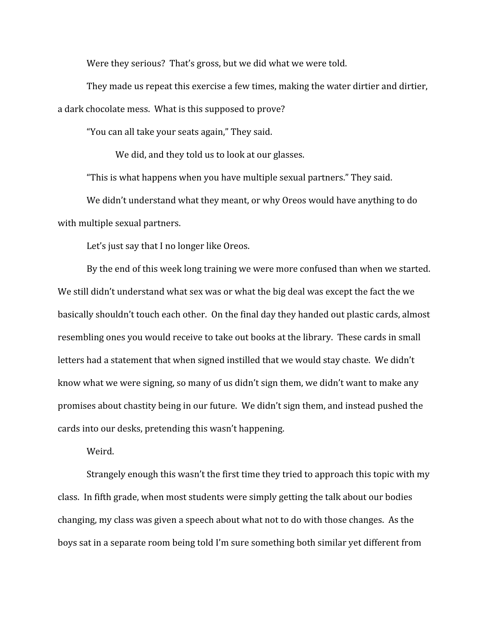Were they serious? That's gross, but we did what we were told.

They made us repeat this exercise a few times, making the water dirtier and dirtier, a dark chocolate mess. What is this supposed to prove?

"You can all take your seats again," They said.

We did, and they told us to look at our glasses.

"This is what happens when you have multiple sexual partners." They said.

We didn't understand what they meant, or why Oreos would have anything to do with multiple sexual partners.

Let's just say that I no longer like Oreos.

By the end of this week long training we were more confused than when we started. We still didn't understand what sex was or what the big deal was except the fact the we basically shouldn't touch each other. On the final day they handed out plastic cards, almost resembling ones you would receive to take out books at the library. These cards in small letters had a statement that when signed instilled that we would stay chaste. We didn't know what we were signing, so many of us didn't sign them, we didn't want to make any promises about chastity being in our future. We didn't sign them, and instead pushed the cards into our desks, pretending this wasn't happening.

Weird.

Strangely enough this wasn't the first time they tried to approach this topic with my class. In fifth grade, when most students were simply getting the talk about our bodies changing, my class was given a speech about what not to do with those changes. As the boys sat in a separate room being told I'm sure something both similar yet different from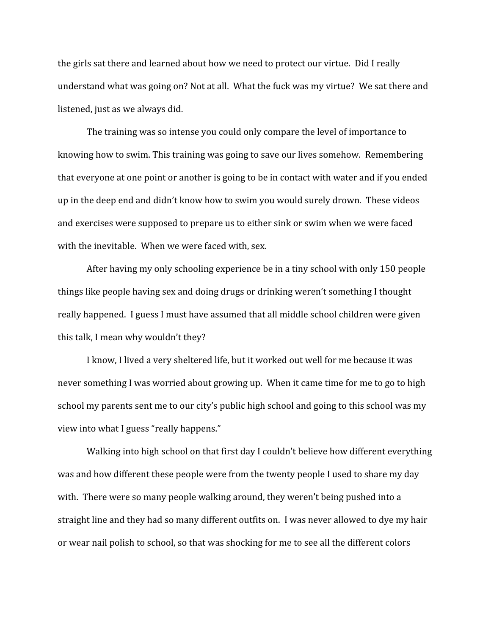the girls sat there and learned about how we need to protect our virtue. Did I really understand what was going on? Not at all. What the fuck was my virtue? We sat there and listened, just as we always did.

The training was so intense you could only compare the level of importance to knowing how to swim. This training was going to save our lives somehow. Remembering that everyone at one point or another is going to be in contact with water and if you ended up in the deep end and didn't know how to swim you would surely drown. These videos and exercises were supposed to prepare us to either sink or swim when we were faced with the inevitable. When we were faced with, sex.

After having my only schooling experience be in a tiny school with only 150 people things like people having sex and doing drugs or drinking weren't something I thought really happened. I guess I must have assumed that all middle school children were given this talk, I mean why wouldn't they?

I know, I lived a very sheltered life, but it worked out well for me because it was never something I was worried about growing up. When it came time for me to go to high school my parents sent me to our city's public high school and going to this school was my view into what I guess "really happens."

Walking into high school on that first day I couldn't believe how different everything was and how different these people were from the twenty people I used to share my day with. There were so many people walking around, they weren't being pushed into a straight line and they had so many different outfits on. I was never allowed to dye my hair or wear nail polish to school, so that was shocking for me to see all the different colors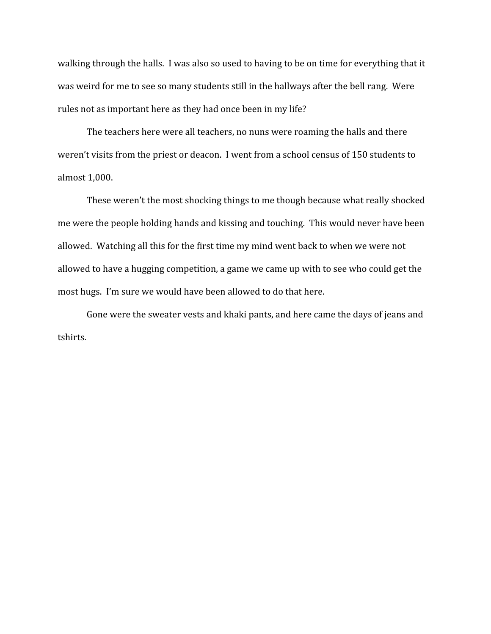walking through the halls. I was also so used to having to be on time for everything that it was weird for me to see so many students still in the hallways after the bell rang. Were rules not as important here as they had once been in my life?

The teachers here were all teachers, no nuns were roaming the halls and there weren't visits from the priest or deacon. I went from a school census of 150 students to almost 1,000.

These weren't the most shocking things to me though because what really shocked me were the people holding hands and kissing and touching. This would never have been allowed. Watching all this for the first time my mind went back to when we were not allowed to have a hugging competition, a game we came up with to see who could get the most hugs. I'm sure we would have been allowed to do that here.

Gone were the sweater vests and khaki pants, and here came the days of jeans and tshirts.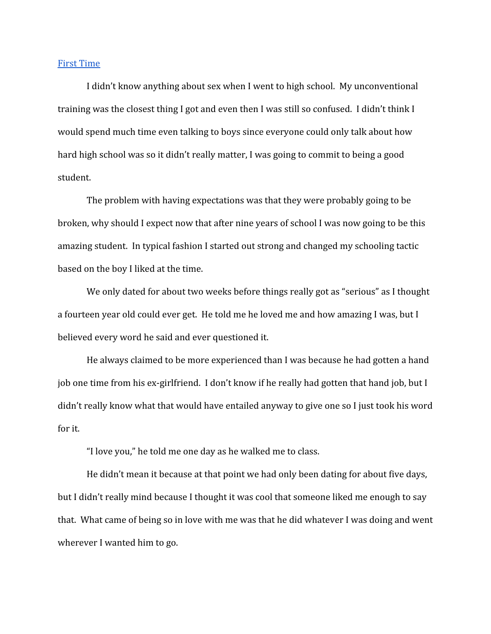## <span id="page-24-0"></span>[First Time](#page-24-0)

I didn't know anything about sex when I went to high school. My unconventional training was the closest thing I got and even then I was still so confused. I didn't think I would spend much time even talking to boys since everyone could only talk about how hard high school was so it didn't really matter, I was going to commit to being a good student.

The problem with having expectations was that they were probably going to be broken, why should I expect now that after nine years of school I was now going to be this amazing student. In typical fashion I started out strong and changed my schooling tactic based on the boy I liked at the time.

We only dated for about two weeks before things really got as "serious" as I thought a fourteen year old could ever get. He told me he loved me and how amazing I was, but I believed every word he said and ever questioned it.

He always claimed to be more experienced than I was because he had gotten a hand job one time from his ex-girlfriend. I don't know if he really had gotten that hand job, but I didn't really know what that would have entailed anyway to give one so I just took his word for it.

"I love you," he told me one day as he walked me to class.

He didn't mean it because at that point we had only been dating for about five days, but I didn't really mind because I thought it was cool that someone liked me enough to say that. What came of being so in love with me was that he did whatever I was doing and went wherever I wanted him to go.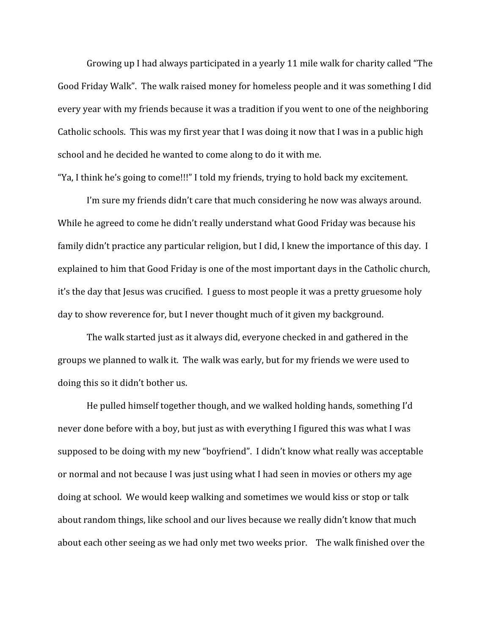Growing up I had always participated in a yearly 11 mile walk for charity called "The Good Friday Walk". The walk raised money for homeless people and it was something I did every year with my friends because it was a tradition if you went to one of the neighboring Catholic schools. This was my first year that I was doing it now that I was in a public high school and he decided he wanted to come along to do it with me.

"Ya, I think he's going to come!!!" I told my friends, trying to hold back my excitement.

I'm sure my friends didn't care that much considering he now was always around. While he agreed to come he didn't really understand what Good Friday was because his family didn't practice any particular religion, but I did, I knew the importance of this day. I explained to him that Good Friday is one of the most important days in the Catholic church, it's the day that Jesus was crucified. I guess to most people it was a pretty gruesome holy day to show reverence for, but I never thought much of it given my background.

The walk started just as it always did, everyone checked in and gathered in the groups we planned to walk it. The walk was early, but for my friends we were used to doing this so it didn't bother us.

He pulled himself together though, and we walked holding hands, something I'd never done before with a boy, but just as with everything I figured this was what I was supposed to be doing with my new "boyfriend". I didn't know what really was acceptable or normal and not because I was just using what I had seen in movies or others my age doing at school. We would keep walking and sometimes we would kiss or stop or talk about random things, like school and our lives because we really didn't know that much about each other seeing as we had only met two weeks prior. The walk finished over the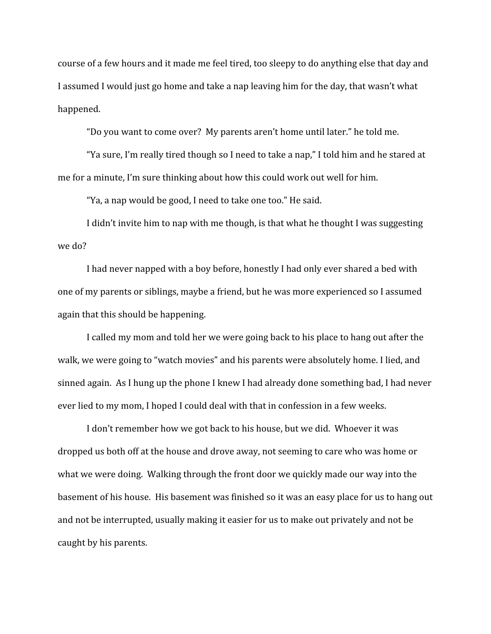course of a few hours and it made me feel tired, too sleepy to do anything else that day and I assumed I would just go home and take a nap leaving him for the day, that wasn't what happened.

"Do you want to come over? My parents aren't home until later." he told me.

"Ya sure, I'm really tired though so I need to take a nap," I told him and he stared at me for a minute, I'm sure thinking about how this could work out well for him.

"Ya, a nap would be good, I need to take one too." He said.

I didn't invite him to nap with me though, is that what he thought I was suggesting we do?

I had never napped with a boy before, honestly I had only ever shared a bed with one of my parents or siblings, maybe a friend, but he was more experienced so I assumed again that this should be happening.

I called my mom and told her we were going back to his place to hang out after the walk, we were going to "watch movies" and his parents were absolutely home. I lied, and sinned again. As I hung up the phone I knew I had already done something bad, I had never ever lied to my mom, I hoped I could deal with that in confession in a few weeks.

I don't remember how we got back to his house, but we did. Whoever it was dropped us both off at the house and drove away, not seeming to care who was home or what we were doing. Walking through the front door we quickly made our way into the basement of his house. His basement was finished so it was an easy place for us to hang out and not be interrupted, usually making it easier for us to make out privately and not be caught by his parents.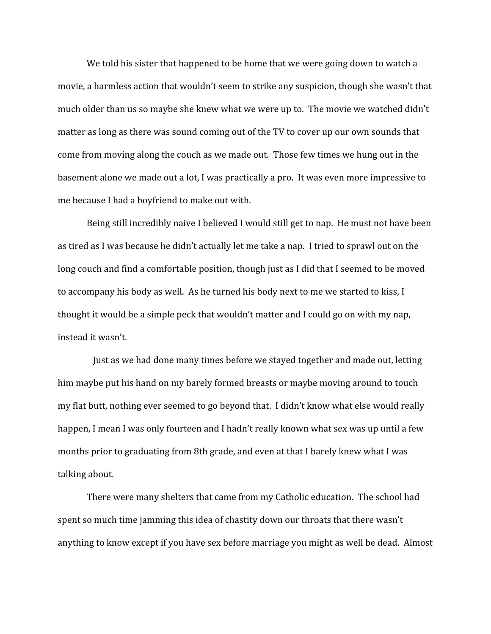We told his sister that happened to be home that we were going down to watch a movie, a harmless action that wouldn't seem to strike any suspicion, though she wasn't that much older than us so maybe she knew what we were up to. The movie we watched didn't matter as long as there was sound coming out of the TV to cover up our own sounds that come from moving along the couch as we made out. Those few times we hung out in the basement alone we made out a lot, I was practically a pro. It was even more impressive to me because I had a boyfriend to make out with.

Being still incredibly naive I believed I would still get to nap. He must not have been as tired as I was because he didn't actually let me take a nap. I tried to sprawl out on the long couch and find a comfortable position, though just as I did that I seemed to be moved to accompany his body as well. As he turned his body next to me we started to kiss, I thought it would be a simple peck that wouldn't matter and I could go on with my nap, instead it wasn't.

 Just as we had done many times before we stayed together and made out, letting him maybe put his hand on my barely formed breasts or maybe moving around to touch my flat butt, nothing ever seemed to go beyond that. I didn't know what else would really happen, I mean I was only fourteen and I hadn't really known what sex was up until a few months prior to graduating from 8th grade, and even at that I barely knew what I was talking about.

There were many shelters that came from my Catholic education. The school had spent so much time jamming this idea of chastity down our throats that there wasn't anything to know except if you have sex before marriage you might as well be dead. Almost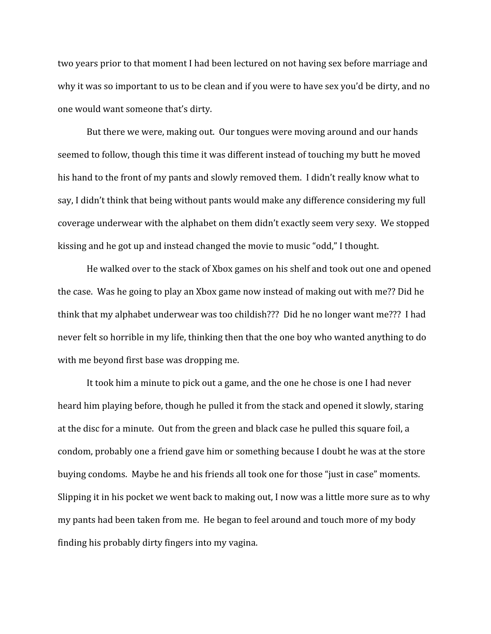two years prior to that moment I had been lectured on not having sex before marriage and why it was so important to us to be clean and if you were to have sex you'd be dirty, and no one would want someone that's dirty.

But there we were, making out. Our tongues were moving around and our hands seemed to follow, though this time it was different instead of touching my butt he moved his hand to the front of my pants and slowly removed them. I didn't really know what to say, I didn't think that being without pants would make any difference considering my full coverage underwear with the alphabet on them didn't exactly seem very sexy. We stopped kissing and he got up and instead changed the movie to music "odd," I thought.

He walked over to the stack of Xbox games on his shelf and took out one and opened the case. Was he going to play an Xbox game now instead of making out with me?? Did he think that my alphabet underwear was too childish??? Did he no longer want me??? I had never felt so horrible in my life, thinking then that the one boy who wanted anything to do with me beyond first base was dropping me.

It took him a minute to pick out a game, and the one he chose is one I had never heard him playing before, though he pulled it from the stack and opened it slowly, staring at the disc for a minute. Out from the green and black case he pulled this square foil, a condom, probably one a friend gave him or something because I doubt he was at the store buying condoms. Maybe he and his friends all took one for those "just in case" moments. Slipping it in his pocket we went back to making out, I now was a little more sure as to why my pants had been taken from me. He began to feel around and touch more of my body finding his probably dirty fingers into my vagina.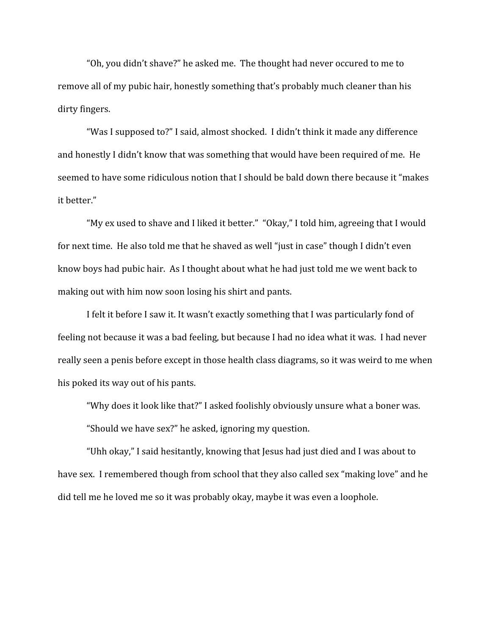"Oh, you didn't shave?" he asked me. The thought had never occured to me to remove all of my pubic hair, honestly something that's probably much cleaner than his dirty fingers.

"Was I supposed to?" I said, almost shocked. I didn't think it made any difference and honestly I didn't know that was something that would have been required of me. He seemed to have some ridiculous notion that I should be bald down there because it "makes it better."

"My ex used to shave and I liked it better." "Okay," I told him, agreeing that I would for next time. He also told me that he shaved as well "just in case" though I didn't even know boys had pubic hair. As I thought about what he had just told me we went back to making out with him now soon losing his shirt and pants.

I felt it before I saw it. It wasn't exactly something that I was particularly fond of feeling not because it was a bad feeling, but because I had no idea what it was. I had never really seen a penis before except in those health class diagrams, so it was weird to me when his poked its way out of his pants.

"Why does it look like that?" I asked foolishly obviously unsure what a boner was. "Should we have sex?" he asked, ignoring my question.

"Uhh okay," I said hesitantly, knowing that Jesus had just died and I was about to have sex. I remembered though from school that they also called sex "making love" and he did tell me he loved me so it was probably okay, maybe it was even a loophole.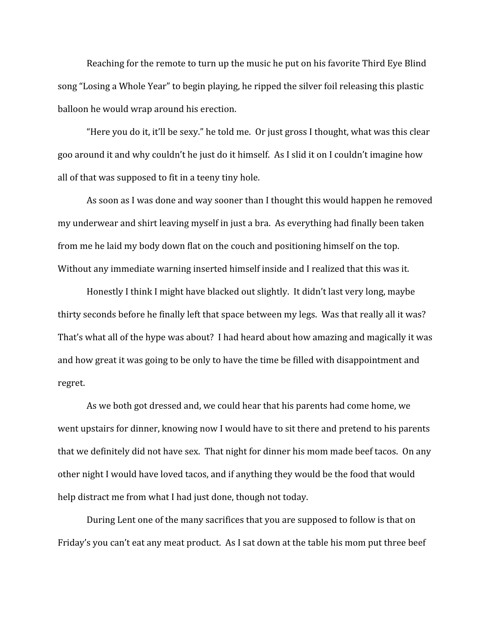Reaching for the remote to turn up the music he put on his favorite Third Eye Blind song "Losing a Whole Year" to begin playing, he ripped the silver foil releasing this plastic balloon he would wrap around his erection.

"Here you do it, it'll be sexy." he told me. Or just gross I thought, what was this clear goo around it and why couldn't he just do it himself. As I slid it on I couldn't imagine how all of that was supposed to fit in a teeny tiny hole.

As soon as I was done and way sooner than I thought this would happen he removed my underwear and shirt leaving myself in just a bra. As everything had finally been taken from me he laid my body down flat on the couch and positioning himself on the top. Without any immediate warning inserted himself inside and I realized that this was it.

Honestly I think I might have blacked out slightly. It didn't last very long, maybe thirty seconds before he finally left that space between my legs. Was that really all it was? That's what all of the hype was about? I had heard about how amazing and magically it was and how great it was going to be only to have the time be filled with disappointment and regret.

As we both got dressed and, we could hear that his parents had come home, we went upstairs for dinner, knowing now I would have to sit there and pretend to his parents that we definitely did not have sex. That night for dinner his mom made beef tacos. On any other night I would have loved tacos, and if anything they would be the food that would help distract me from what I had just done, though not today.

During Lent one of the many sacrifices that you are supposed to follow is that on Friday's you can't eat any meat product. As I sat down at the table his mom put three beef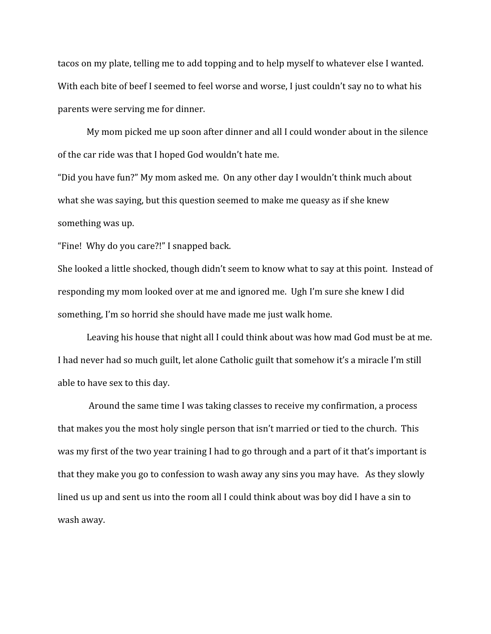tacos on my plate, telling me to add topping and to help myself to whatever else I wanted. With each bite of beef I seemed to feel worse and worse, I just couldn't say no to what his parents were serving me for dinner.

My mom picked me up soon after dinner and all I could wonder about in the silence of the car ride was that I hoped God wouldn't hate me.

"Did you have fun?" My mom asked me. On any other day I wouldn't think much about what she was saying, but this question seemed to make me queasy as if she knew something was up.

"Fine! Why do you care?!" I snapped back.

She looked a little shocked, though didn't seem to know what to say at this point. Instead of responding my mom looked over at me and ignored me. Ugh I'm sure she knew I did something, I'm so horrid she should have made me just walk home.

Leaving his house that night all I could think about was how mad God must be at me. I had never had so much guilt, let alone Catholic guilt that somehow it's a miracle I'm still able to have sex to this day.

 Around the same time I was taking classes to receive my confirmation, a process that makes you the most holy single person that isn't married or tied to the church. This was my first of the two year training I had to go through and a part of it that's important is that they make you go to confession to wash away any sins you may have. As they slowly lined us up and sent us into the room all I could think about was boy did I have a sin to wash away.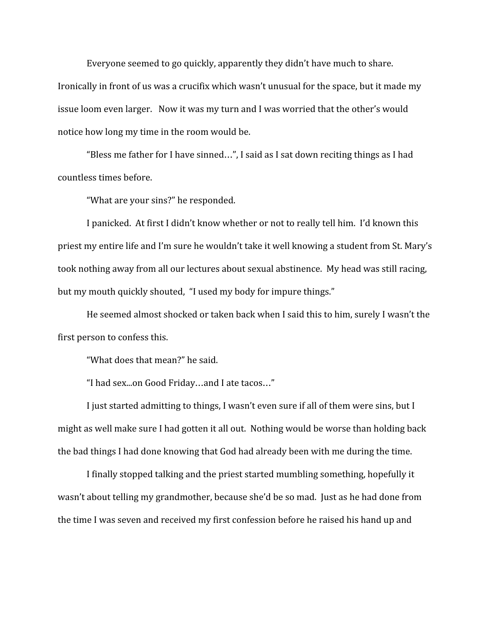Everyone seemed to go quickly, apparently they didn't have much to share. Ironically in front of us was a crucifix which wasn't unusual for the space, but it made my issue loom even larger. Now it was my turn and I was worried that the other's would notice how long my time in the room would be.

"Bless me father for I have sinned…", I said as I sat down reciting things as I had countless times before.

"What are your sins?" he responded.

I panicked. At first I didn't know whether or not to really tell him. I'd known this priest my entire life and I'm sure he wouldn't take it well knowing a student from St. Mary's took nothing away from all our lectures about sexual abstinence. My head was still racing, but my mouth quickly shouted, "I used my body for impure things."

He seemed almost shocked or taken back when I said this to him, surely I wasn't the first person to confess this.

"What does that mean?" he said.

"I had sex...on Good Friday…and I ate tacos…"

I just started admitting to things, I wasn't even sure if all of them were sins, but I might as well make sure I had gotten it all out. Nothing would be worse than holding back the bad things I had done knowing that God had already been with me during the time.

I finally stopped talking and the priest started mumbling something, hopefully it wasn't about telling my grandmother, because she'd be so mad. Just as he had done from the time I was seven and received my first confession before he raised his hand up and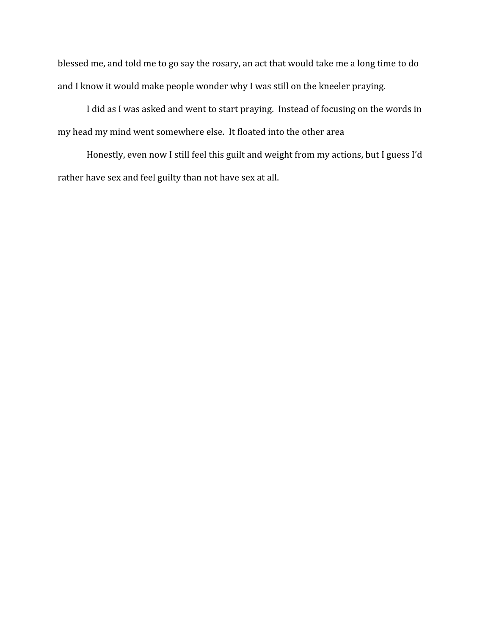blessed me, and told me to go say the rosary, an act that would take me a long time to do and I know it would make people wonder why I was still on the kneeler praying.

I did as I was asked and went to start praying. Instead of focusing on the words in my head my mind went somewhere else. It floated into the other area

Honestly, even now I still feel this guilt and weight from my actions, but I guess I'd rather have sex and feel guilty than not have sex at all.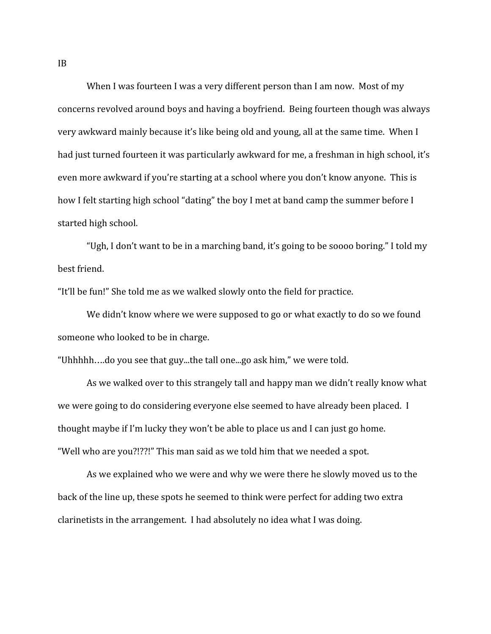<span id="page-34-0"></span>When I was fourteen I was a very different person than I am now. Most of my concerns revolved around boys and having a boyfriend. Being fourteen though was always very awkward mainly because it's like being old and young, all at the same time. When I had just turned fourteen it was particularly awkward for me, a freshman in high school, it's even more awkward if you're starting at a school where you don't know anyone. This is how I felt starting high school "dating" the boy I met at band camp the summer before I started high school.

"Ugh, I don't want to be in a marching band, it's going to be soooo boring." I told my best friend.

"It'll be fun!" She told me as we walked slowly onto the field for practice.

We didn't know where we were supposed to go or what exactly to do so we found someone who looked to be in charge.

"Uhhhhh….do you see that guy...the tall one...go ask him," we were told.

As we walked over to this strangely tall and happy man we didn't really know what we were going to do considering everyone else seemed to have already been placed. I thought maybe if I'm lucky they won't be able to place us and I can just go home. "Well who are you?!??!" This man said as we told him that we needed a spot.

As we explained who we were and why we were there he slowly moved us to the back of the line up, these spots he seemed to think were perfect for adding two extra clarinetists in the arrangement. I had absolutely no idea what I was doing.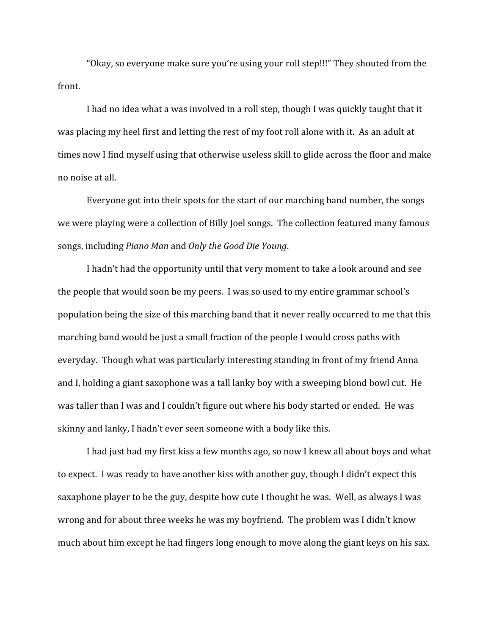"Okay, so everyone make sure you're using your roll step!!!" They shouted from the front.

I had no idea what a was involved in a roll step, though I was quickly taught that it was placing my heel first and letting the rest of my foot roll alone with it. As an adult at times now I find myself using that otherwise useless skill to glide across the floor and make no noise at all.

Everyone got into their spots for the start of our marching band number, the songs we were playing were a collection of Billy Joel songs. The collection featured many famous songs, including *Piano Man* and *Only the Good Die Young*.

I hadn't had the opportunity until that very moment to take a look around and see the people that would soon be my peers. I was so used to my entire grammar school's population being the size of this marching band that it never really occurred to me that this marching band would be just a small fraction of the people I would cross paths with everyday. Though what was particularly interesting standing in front of my friend Anna and I, holding a giant saxophone was a tall lanky boy with a sweeping blond bowl cut. He was taller than I was and I couldn't figure out where his body started or ended. He was skinny and lanky, I hadn't ever seen someone with a body like this.

I had just had my first kiss a few months ago, so now I knew all about boys and what to expect. I was ready to have another kiss with another guy, though I didn't expect this saxaphone player to be the guy, despite how cute I thought he was. Well, as always I was wrong and for about three weeks he was my boyfriend. The problem was I didn't know much about him except he had fingers long enough to move along the giant keys on his sax.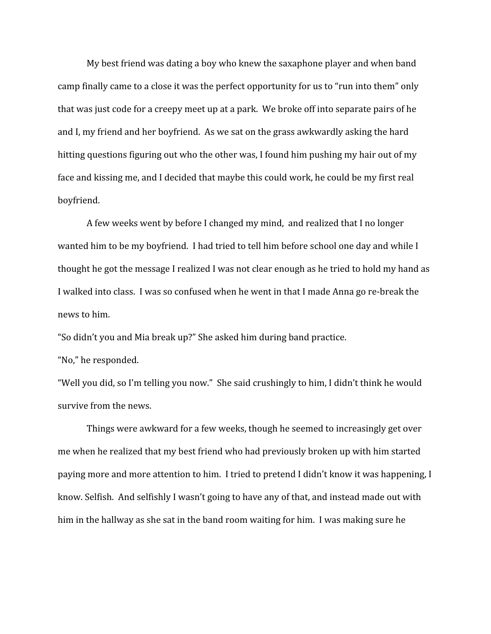My best friend was dating a boy who knew the saxaphone player and when band camp finally came to a close it was the perfect opportunity for us to "run into them" only that was just code for a creepy meet up at a park. We broke off into separate pairs of he and I, my friend and her boyfriend. As we sat on the grass awkwardly asking the hard hitting questions figuring out who the other was, I found him pushing my hair out of my face and kissing me, and I decided that maybe this could work, he could be my first real boyfriend.

A few weeks went by before I changed my mind, and realized that I no longer wanted him to be my boyfriend. I had tried to tell him before school one day and while I thought he got the message I realized I was not clear enough as he tried to hold my hand as I walked into class. I was so confused when he went in that I made Anna go re-break the news to him.

"So didn't you and Mia break up?" She asked him during band practice.

"No," he responded.

"Well you did, so I'm telling you now." She said crushingly to him, I didn't think he would survive from the news.

Things were awkward for a few weeks, though he seemed to increasingly get over me when he realized that my best friend who had previously broken up with him started paying more and more attention to him. I tried to pretend I didn't know it was happening, I know. Selfish. And selfishly I wasn't going to have any of that, and instead made out with him in the hallway as she sat in the band room waiting for him. I was making sure he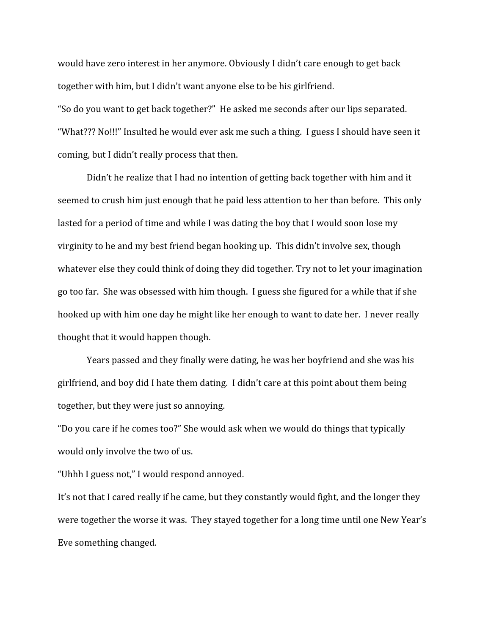would have zero interest in her anymore. Obviously I didn't care enough to get back together with him, but I didn't want anyone else to be his girlfriend.

"So do you want to get back together?" He asked me seconds after our lips separated. "What??? No!!!" Insulted he would ever ask me such a thing. I guess I should have seen it coming, but I didn't really process that then.

Didn't he realize that I had no intention of getting back together with him and it seemed to crush him just enough that he paid less attention to her than before. This only lasted for a period of time and while I was dating the boy that I would soon lose my virginity to he and my best friend began hooking up. This didn't involve sex, though whatever else they could think of doing they did together. Try not to let your imagination go too far. She was obsessed with him though. I guess she figured for a while that if she hooked up with him one day he might like her enough to want to date her. I never really thought that it would happen though.

Years passed and they finally were dating, he was her boyfriend and she was his girlfriend, and boy did I hate them dating. I didn't care at this point about them being together, but they were just so annoying.

"Do you care if he comes too?" She would ask when we would do things that typically would only involve the two of us.

"Uhhh I guess not," I would respond annoyed.

It's not that I cared really if he came, but they constantly would fight, and the longer they were together the worse it was. They stayed together for a long time until one New Year's Eve something changed.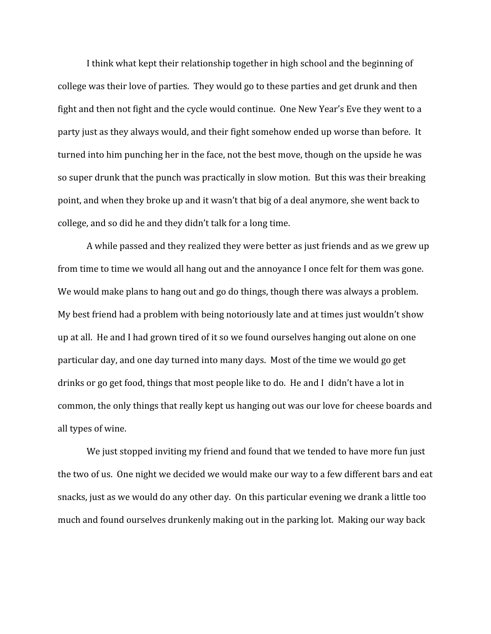I think what kept their relationship together in high school and the beginning of college was their love of parties. They would go to these parties and get drunk and then fight and then not fight and the cycle would continue. One New Year's Eve they went to a party just as they always would, and their fight somehow ended up worse than before. It turned into him punching her in the face, not the best move, though on the upside he was so super drunk that the punch was practically in slow motion. But this was their breaking point, and when they broke up and it wasn't that big of a deal anymore, she went back to college, and so did he and they didn't talk for a long time.

A while passed and they realized they were better as just friends and as we grew up from time to time we would all hang out and the annoyance I once felt for them was gone. We would make plans to hang out and go do things, though there was always a problem. My best friend had a problem with being notoriously late and at times just wouldn't show up at all. He and I had grown tired of it so we found ourselves hanging out alone on one particular day, and one day turned into many days. Most of the time we would go get drinks or go get food, things that most people like to do. He and I didn't have a lot in common, the only things that really kept us hanging out was our love for cheese boards and all types of wine.

We just stopped inviting my friend and found that we tended to have more fun just the two of us. One night we decided we would make our way to a few different bars and eat snacks, just as we would do any other day. On this particular evening we drank a little too much and found ourselves drunkenly making out in the parking lot. Making our way back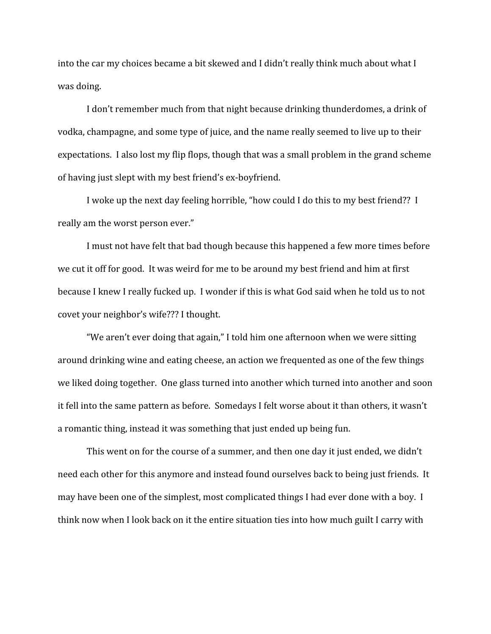into the car my choices became a bit skewed and I didn't really think much about what I was doing.

I don't remember much from that night because drinking thunderdomes, a drink of vodka, champagne, and some type of juice, and the name really seemed to live up to their expectations. I also lost my flip flops, though that was a small problem in the grand scheme of having just slept with my best friend's ex-boyfriend.

I woke up the next day feeling horrible, "how could I do this to my best friend?? I really am the worst person ever."

I must not have felt that bad though because this happened a few more times before we cut it off for good. It was weird for me to be around my best friend and him at first because I knew I really fucked up. I wonder if this is what God said when he told us to not covet your neighbor's wife??? I thought.

"We aren't ever doing that again," I told him one afternoon when we were sitting around drinking wine and eating cheese, an action we frequented as one of the few things we liked doing together. One glass turned into another which turned into another and soon it fell into the same pattern as before. Somedays I felt worse about it than others, it wasn't a romantic thing, instead it was something that just ended up being fun.

This went on for the course of a summer, and then one day it just ended, we didn't need each other for this anymore and instead found ourselves back to being just friends. It may have been one of the simplest, most complicated things I had ever done with a boy. I think now when I look back on it the entire situation ties into how much guilt I carry with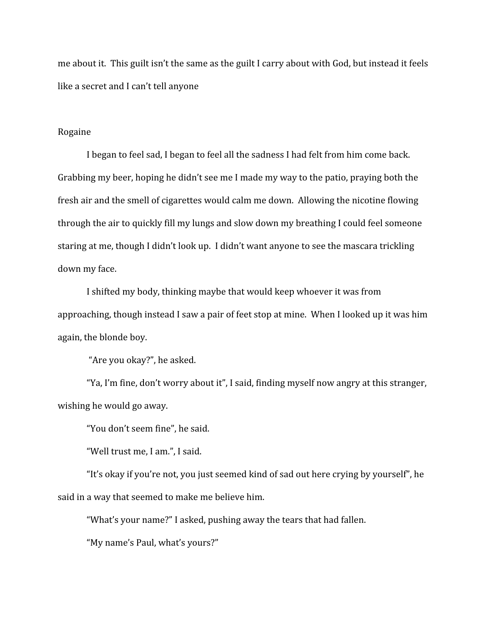me about it. This guilt isn't the same as the guilt I carry about with God, but instead it feels like a secret and I can't tell anyone

## Rogaine

I began to feel sad, I began to feel all the sadness I had felt from him come back. Grabbing my beer, hoping he didn't see me I made my way to the patio, praying both the fresh air and the smell of cigarettes would calm me down. Allowing the nicotine flowing through the air to quickly fill my lungs and slow down my breathing I could feel someone staring at me, though I didn't look up. I didn't want anyone to see the mascara trickling down my face.

I shifted my body, thinking maybe that would keep whoever it was from approaching, though instead I saw a pair of feet stop at mine. When I looked up it was him again, the blonde boy.

"Are you okay?", he asked.

"Ya, I'm fine, don't worry about it", I said, finding myself now angry at this stranger, wishing he would go away.

"You don't seem fine", he said.

"Well trust me, I am.", I said.

"It's okay if you're not, you just seemed kind of sad out here crying by yourself", he said in a way that seemed to make me believe him.

"What's your name?" I asked, pushing away the tears that had fallen.

"My name's Paul, what's yours?"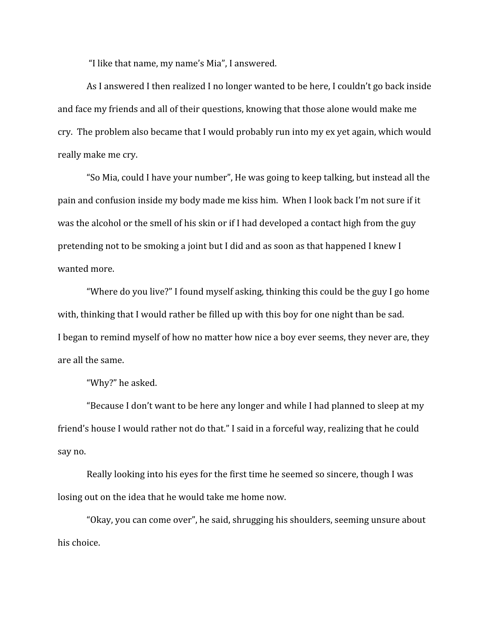"I like that name, my name's Mia", I answered.

As I answered I then realized I no longer wanted to be here, I couldn't go back inside and face my friends and all of their questions, knowing that those alone would make me cry. The problem also became that I would probably run into my ex yet again, which would really make me cry.

"So Mia, could I have your number", He was going to keep talking, but instead all the pain and confusion inside my body made me kiss him. When I look back I'm not sure if it was the alcohol or the smell of his skin or if I had developed a contact high from the guy pretending not to be smoking a joint but I did and as soon as that happened I knew I wanted more.

"Where do you live?" I found myself asking, thinking this could be the guy I go home with, thinking that I would rather be filled up with this boy for one night than be sad. I began to remind myself of how no matter how nice a boy ever seems, they never are, they are all the same.

"Why?" he asked.

"Because I don't want to be here any longer and while I had planned to sleep at my friend's house I would rather not do that." I said in a forceful way, realizing that he could say no.

Really looking into his eyes for the first time he seemed so sincere, though I was losing out on the idea that he would take me home now.

"Okay, you can come over", he said, shrugging his shoulders, seeming unsure about his choice.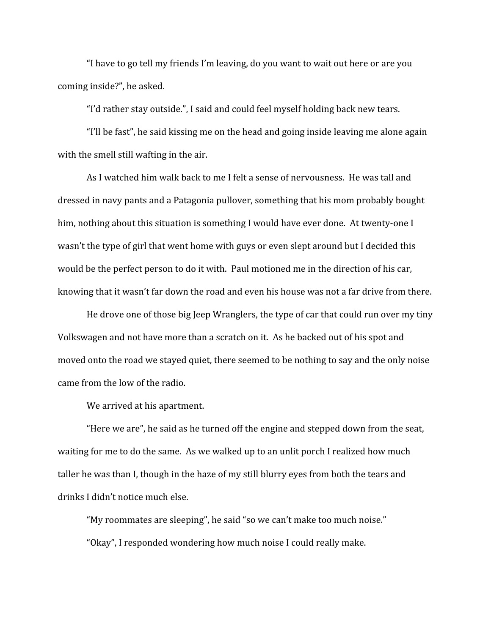"I have to go tell my friends I'm leaving, do you want to wait out here or are you coming inside?", he asked.

"I'd rather stay outside.", I said and could feel myself holding back new tears.

"I'll be fast", he said kissing me on the head and going inside leaving me alone again with the smell still wafting in the air.

As I watched him walk back to me I felt a sense of nervousness. He was tall and dressed in navy pants and a Patagonia pullover, something that his mom probably bought him, nothing about this situation is something I would have ever done. At twenty-one I wasn't the type of girl that went home with guys or even slept around but I decided this would be the perfect person to do it with. Paul motioned me in the direction of his car, knowing that it wasn't far down the road and even his house was not a far drive from there.

He drove one of those big Jeep Wranglers, the type of car that could run over my tiny Volkswagen and not have more than a scratch on it. As he backed out of his spot and moved onto the road we stayed quiet, there seemed to be nothing to say and the only noise came from the low of the radio.

We arrived at his apartment.

"Here we are", he said as he turned off the engine and stepped down from the seat, waiting for me to do the same. As we walked up to an unlit porch I realized how much taller he was than I, though in the haze of my still blurry eyes from both the tears and drinks I didn't notice much else.

"My roommates are sleeping", he said "so we can't make too much noise." "Okay", I responded wondering how much noise I could really make.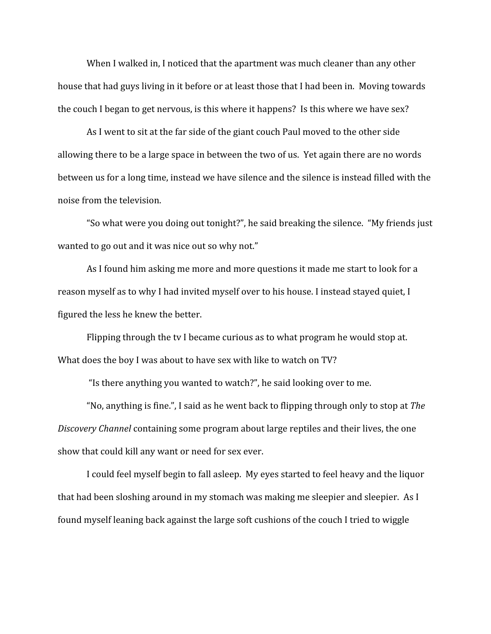When I walked in, I noticed that the apartment was much cleaner than any other house that had guys living in it before or at least those that I had been in. Moving towards the couch I began to get nervous, is this where it happens? Is this where we have sex?

As I went to sit at the far side of the giant couch Paul moved to the other side allowing there to be a large space in between the two of us. Yet again there are no words between us for a long time, instead we have silence and the silence is instead filled with the noise from the television.

"So what were you doing out tonight?", he said breaking the silence. "My friends just wanted to go out and it was nice out so why not."

As I found him asking me more and more questions it made me start to look for a reason myself as to why I had invited myself over to his house. I instead stayed quiet, I figured the less he knew the better.

Flipping through the tv I became curious as to what program he would stop at. What does the boy I was about to have sex with like to watch on TV?

"Is there anything you wanted to watch?", he said looking over to me.

"No, anything is fine.", I said as he went back to flipping through only to stop at *The Discovery Channel* containing some program about large reptiles and their lives, the one show that could kill any want or need for sex ever.

I could feel myself begin to fall asleep. My eyes started to feel heavy and the liquor that had been sloshing around in my stomach was making me sleepier and sleepier. As I found myself leaning back against the large soft cushions of the couch I tried to wiggle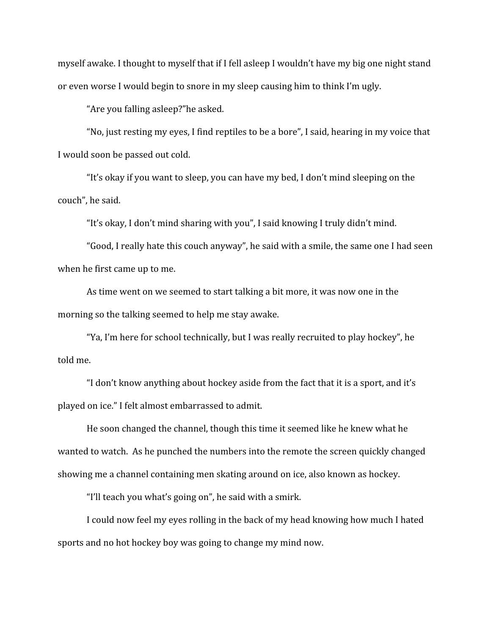myself awake. I thought to myself that if I fell asleep I wouldn't have my big one night stand or even worse I would begin to snore in my sleep causing him to think I'm ugly.

"Are you falling asleep?"he asked.

"No, just resting my eyes, I find reptiles to be a bore", I said, hearing in my voice that I would soon be passed out cold.

"It's okay if you want to sleep, you can have my bed, I don't mind sleeping on the couch", he said.

"It's okay, I don't mind sharing with you", I said knowing I truly didn't mind.

"Good, I really hate this couch anyway", he said with a smile, the same one I had seen when he first came up to me.

As time went on we seemed to start talking a bit more, it was now one in the morning so the talking seemed to help me stay awake.

"Ya, I'm here for school technically, but I was really recruited to play hockey", he told me.

"I don't know anything about hockey aside from the fact that it is a sport, and it's played on ice." I felt almost embarrassed to admit.

He soon changed the channel, though this time it seemed like he knew what he wanted to watch. As he punched the numbers into the remote the screen quickly changed showing me a channel containing men skating around on ice, also known as hockey.

"I'll teach you what's going on", he said with a smirk.

I could now feel my eyes rolling in the back of my head knowing how much I hated sports and no hot hockey boy was going to change my mind now.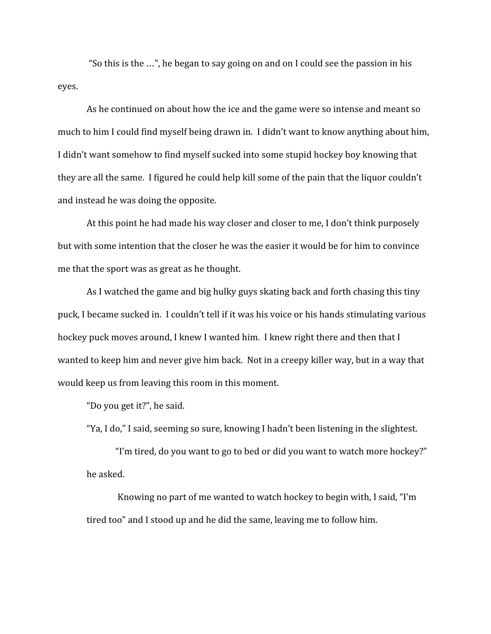"So this is the …", he began to say going on and on I could see the passion in his eyes.

As he continued on about how the ice and the game were so intense and meant so much to him I could find myself being drawn in. I didn't want to know anything about him, I didn't want somehow to find myself sucked into some stupid hockey boy knowing that they are all the same. I figured he could help kill some of the pain that the liquor couldn't and instead he was doing the opposite.

At this point he had made his way closer and closer to me, I don't think purposely but with some intention that the closer he was the easier it would be for him to convince me that the sport was as great as he thought.

As I watched the game and big hulky guys skating back and forth chasing this tiny puck, I became sucked in. I couldn't tell if it was his voice or his hands stimulating various hockey puck moves around, I knew I wanted him. I knew right there and then that I wanted to keep him and never give him back. Not in a creepy killer way, but in a way that would keep us from leaving this room in this moment.

"Do you get it?", he said.

"Ya, I do," I said, seeming so sure, knowing I hadn't been listening in the slightest.

"I'm tired, do you want to go to bed or did you want to watch more hockey?" he asked.

 Knowing no part of me wanted to watch hockey to begin with, I said, "I'm tired too" and I stood up and he did the same, leaving me to follow him.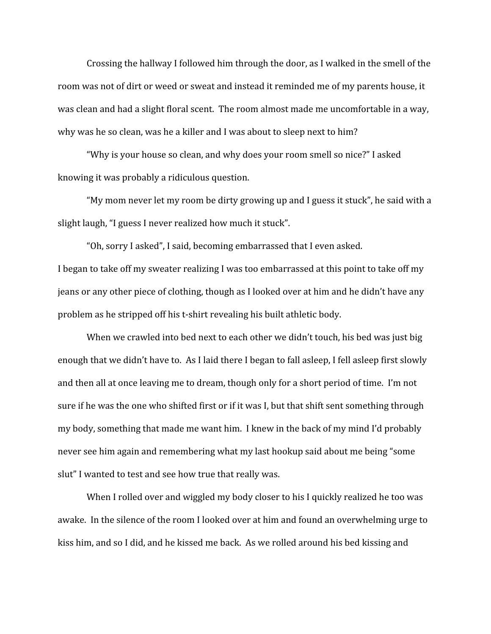Crossing the hallway I followed him through the door, as I walked in the smell of the room was not of dirt or weed or sweat and instead it reminded me of my parents house, it was clean and had a slight floral scent. The room almost made me uncomfortable in a way, why was he so clean, was he a killer and I was about to sleep next to him?

"Why is your house so clean, and why does your room smell so nice?" I asked knowing it was probably a ridiculous question.

"My mom never let my room be dirty growing up and I guess it stuck", he said with a slight laugh, "I guess I never realized how much it stuck".

"Oh, sorry I asked", I said, becoming embarrassed that I even asked. I began to take off my sweater realizing I was too embarrassed at this point to take off my jeans or any other piece of clothing, though as I looked over at him and he didn't have any problem as he stripped off his t-shirt revealing his built athletic body.

When we crawled into bed next to each other we didn't touch, his bed was just big enough that we didn't have to. As I laid there I began to fall asleep, I fell asleep first slowly and then all at once leaving me to dream, though only for a short period of time. I'm not sure if he was the one who shifted first or if it was I, but that shift sent something through my body, something that made me want him. I knew in the back of my mind I'd probably never see him again and remembering what my last hookup said about me being "some slut" I wanted to test and see how true that really was.

When I rolled over and wiggled my body closer to his I quickly realized he too was awake. In the silence of the room I looked over at him and found an overwhelming urge to kiss him, and so I did, and he kissed me back. As we rolled around his bed kissing and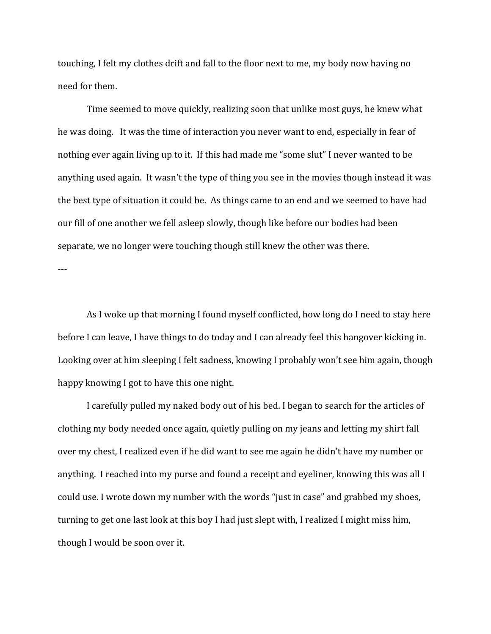touching, I felt my clothes drift and fall to the floor next to me, my body now having no need for them.

Time seemed to move quickly, realizing soon that unlike most guys, he knew what he was doing. It was the time of interaction you never want to end, especially in fear of nothing ever again living up to it. If this had made me "some slut" I never wanted to be anything used again. It wasn't the type of thing you see in the movies though instead it was the best type of situation it could be. As things came to an end and we seemed to have had our fill of one another we fell asleep slowly, though like before our bodies had been separate, we no longer were touching though still knew the other was there.

---

As I woke up that morning I found myself conflicted, how long do I need to stay here before I can leave, I have things to do today and I can already feel this hangover kicking in. Looking over at him sleeping I felt sadness, knowing I probably won't see him again, though happy knowing I got to have this one night.

I carefully pulled my naked body out of his bed. I began to search for the articles of clothing my body needed once again, quietly pulling on my jeans and letting my shirt fall over my chest, I realized even if he did want to see me again he didn't have my number or anything. I reached into my purse and found a receipt and eyeliner, knowing this was all I could use. I wrote down my number with the words "just in case" and grabbed my shoes, turning to get one last look at this boy I had just slept with, I realized I might miss him, though I would be soon over it.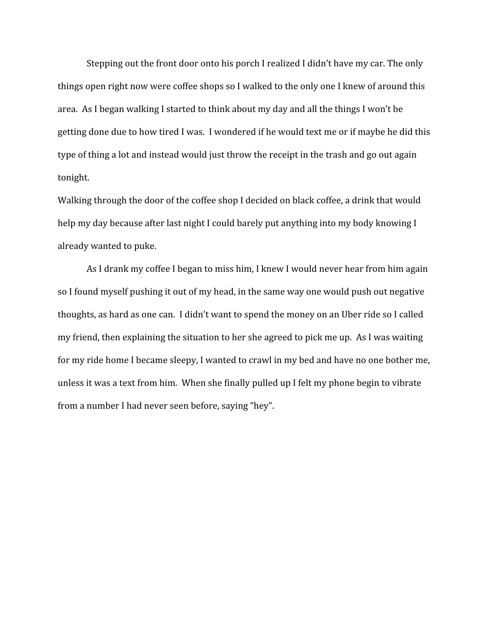Stepping out the front door onto his porch I realized I didn't have my car. The only things open right now were coffee shops so I walked to the only one I knew of around this area. As I began walking I started to think about my day and all the things I won't be getting done due to how tired I was. I wondered if he would text me or if maybe he did this type of thing a lot and instead would just throw the receipt in the trash and go out again tonight.

Walking through the door of the coffee shop I decided on black coffee, a drink that would help my day because after last night I could barely put anything into my body knowing I already wanted to puke.

As I drank my coffee I began to miss him, I knew I would never hear from him again so I found myself pushing it out of my head, in the same way one would push out negative thoughts, as hard as one can. I didn't want to spend the money on an Uber ride so I called my friend, then explaining the situation to her she agreed to pick me up. As I was waiting for my ride home I became sleepy, I wanted to crawl in my bed and have no one bother me, unless it was a text from him. When she finally pulled up I felt my phone begin to vibrate from a number I had never seen before, saying "hey".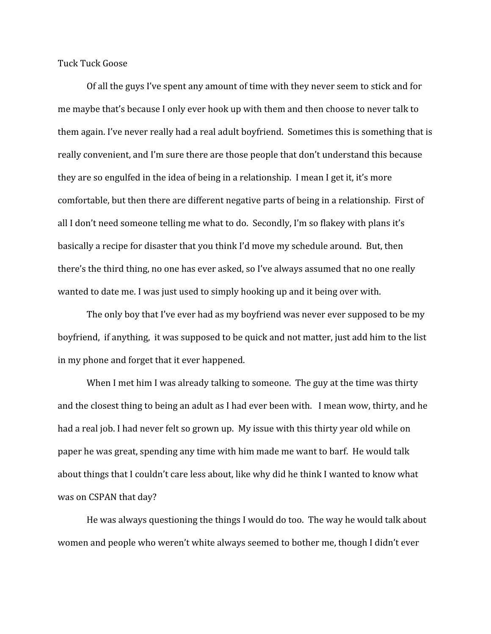Tuck Tuck Goose

Of all the guys I've spent any amount of time with they never seem to stick and for me maybe that's because I only ever hook up with them and then choose to never talk to them again. I've never really had a real adult boyfriend. Sometimes this is something that is really convenient, and I'm sure there are those people that don't understand this because they are so engulfed in the idea of being in a relationship. I mean I get it, it's more comfortable, but then there are different negative parts of being in a relationship. First of all I don't need someone telling me what to do. Secondly, I'm so flakey with plans it's basically a recipe for disaster that you think I'd move my schedule around. But, then there's the third thing, no one has ever asked, so I've always assumed that no one really wanted to date me. I was just used to simply hooking up and it being over with.

The only boy that I've ever had as my boyfriend was never ever supposed to be my boyfriend, if anything, it was supposed to be quick and not matter, just add him to the list in my phone and forget that it ever happened.

When I met him I was already talking to someone. The guy at the time was thirty and the closest thing to being an adult as I had ever been with. I mean wow, thirty, and he had a real job. I had never felt so grown up. My issue with this thirty year old while on paper he was great, spending any time with him made me want to barf. He would talk about things that I couldn't care less about, like why did he think I wanted to know what was on CSPAN that day?

He was always questioning the things I would do too. The way he would talk about women and people who weren't white always seemed to bother me, though I didn't ever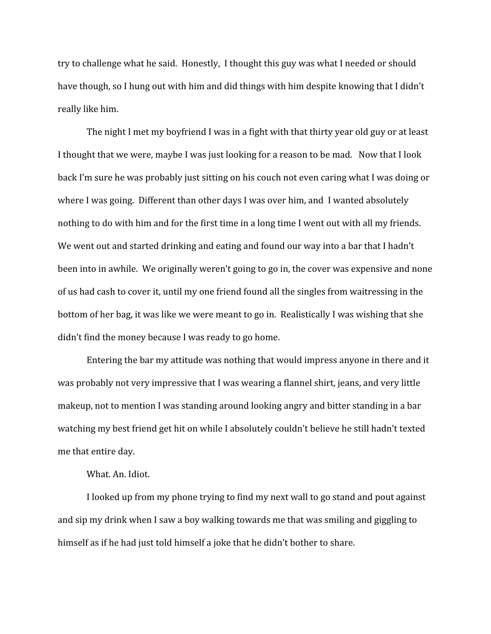try to challenge what he said. Honestly, I thought this guy was what I needed or should have though, so I hung out with him and did things with him despite knowing that I didn't really like him.

The night I met my boyfriend I was in a fight with that thirty year old guy or at least I thought that we were, maybe I was just looking for a reason to be mad. Now that I look back I'm sure he was probably just sitting on his couch not even caring what I was doing or where I was going. Different than other days I was over him, and I wanted absolutely nothing to do with him and for the first time in a long time I went out with all my friends. We went out and started drinking and eating and found our way into a bar that I hadn't been into in awhile. We originally weren't going to go in, the cover was expensive and none of us had cash to cover it, until my one friend found all the singles from waitressing in the bottom of her bag, it was like we were meant to go in. Realistically I was wishing that she didn't find the money because I was ready to go home.

Entering the bar my attitude was nothing that would impress anyone in there and it was probably not very impressive that I was wearing a flannel shirt, jeans, and very little makeup, not to mention I was standing around looking angry and bitter standing in a bar watching my best friend get hit on while I absolutely couldn't believe he still hadn't texted me that entire day.

# What. An. Idiot.

I looked up from my phone trying to find my next wall to go stand and pout against and sip my drink when I saw a boy walking towards me that was smiling and giggling to himself as if he had just told himself a joke that he didn't bother to share.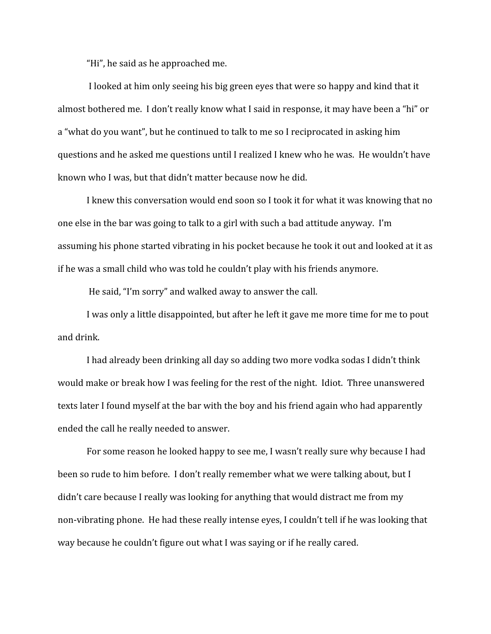"Hi", he said as he approached me.

 I looked at him only seeing his big green eyes that were so happy and kind that it almost bothered me. I don't really know what I said in response, it may have been a "hi" or a "what do you want", but he continued to talk to me so I reciprocated in asking him questions and he asked me questions until I realized I knew who he was. He wouldn't have known who I was, but that didn't matter because now he did.

I knew this conversation would end soon so I took it for what it was knowing that no one else in the bar was going to talk to a girl with such a bad attitude anyway. I'm assuming his phone started vibrating in his pocket because he took it out and looked at it as if he was a small child who was told he couldn't play with his friends anymore.

He said, "I'm sorry" and walked away to answer the call.

I was only a little disappointed, but after he left it gave me more time for me to pout and drink.

I had already been drinking all day so adding two more vodka sodas I didn't think would make or break how I was feeling for the rest of the night. Idiot. Three unanswered texts later I found myself at the bar with the boy and his friend again who had apparently ended the call he really needed to answer.

For some reason he looked happy to see me, I wasn't really sure why because I had been so rude to him before. I don't really remember what we were talking about, but I didn't care because I really was looking for anything that would distract me from my non-vibrating phone. He had these really intense eyes, I couldn't tell if he was looking that way because he couldn't figure out what I was saying or if he really cared.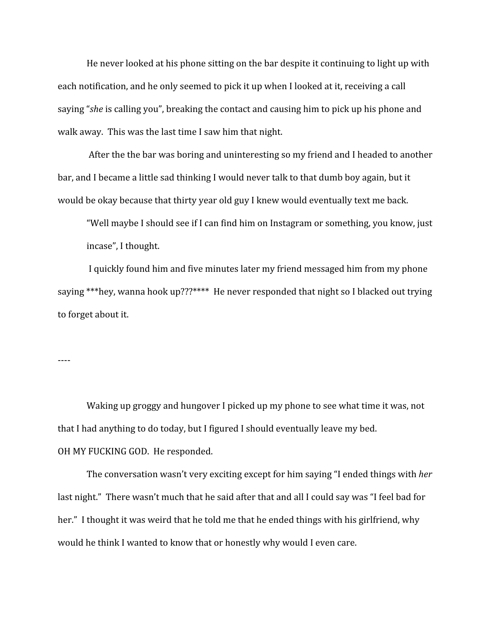He never looked at his phone sitting on the bar despite it continuing to light up with each notification, and he only seemed to pick it up when I looked at it, receiving a call saying "*she* is calling you", breaking the contact and causing him to pick up his phone and walk away. This was the last time I saw him that night.

 After the the bar was boring and uninteresting so my friend and I headed to another bar, and I became a little sad thinking I would never talk to that dumb boy again, but it would be okay because that thirty year old guy I knew would eventually text me back.

"Well maybe I should see if I can find him on Instagram or something, you know, just incase", I thought.

 I quickly found him and five minutes later my friend messaged him from my phone saying \*\*\*hey, wanna hook up???\*\*\*\* He never responded that night so I blacked out trying to forget about it.

----

Waking up groggy and hungover I picked up my phone to see what time it was, not that I had anything to do today, but I figured I should eventually leave my bed. OH MY FUCKING GOD. He responded.

The conversation wasn't very exciting except for him saying "I ended things with *her* last night." There wasn't much that he said after that and all I could say was "I feel bad for her." I thought it was weird that he told me that he ended things with his girlfriend, why would he think I wanted to know that or honestly why would I even care.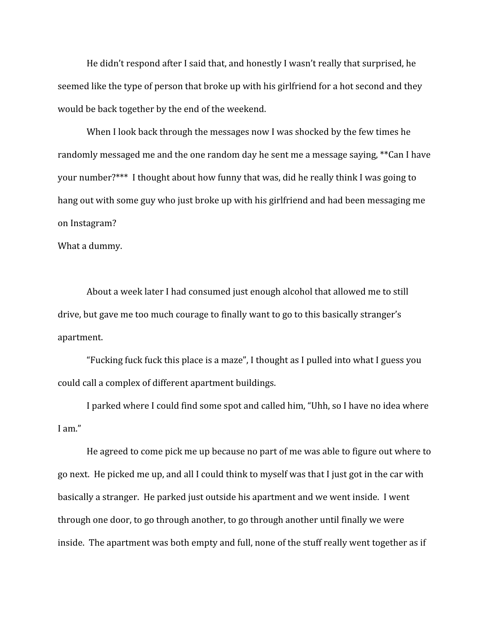He didn't respond after I said that, and honestly I wasn't really that surprised, he seemed like the type of person that broke up with his girlfriend for a hot second and they would be back together by the end of the weekend.

When I look back through the messages now I was shocked by the few times he randomly messaged me and the one random day he sent me a message saying, \*\*Can I have your number?\*\*\* I thought about how funny that was, did he really think I was going to hang out with some guy who just broke up with his girlfriend and had been messaging me on Instagram?

What a dummy.

About a week later I had consumed just enough alcohol that allowed me to still drive, but gave me too much courage to finally want to go to this basically stranger's apartment.

"Fucking fuck fuck this place is a maze", I thought as I pulled into what I guess you could call a complex of different apartment buildings.

I parked where I could find some spot and called him, "Uhh, so I have no idea where I am."

He agreed to come pick me up because no part of me was able to figure out where to go next. He picked me up, and all I could think to myself was that I just got in the car with basically a stranger. He parked just outside his apartment and we went inside. I went through one door, to go through another, to go through another until finally we were inside. The apartment was both empty and full, none of the stuff really went together as if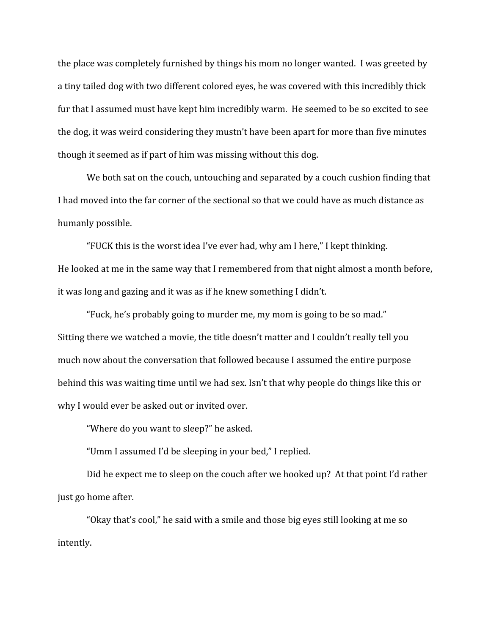the place was completely furnished by things his mom no longer wanted. I was greeted by a tiny tailed dog with two different colored eyes, he was covered with this incredibly thick fur that I assumed must have kept him incredibly warm. He seemed to be so excited to see the dog, it was weird considering they mustn't have been apart for more than five minutes though it seemed as if part of him was missing without this dog.

We both sat on the couch, untouching and separated by a couch cushion finding that I had moved into the far corner of the sectional so that we could have as much distance as humanly possible.

"FUCK this is the worst idea I've ever had, why am I here," I kept thinking. He looked at me in the same way that I remembered from that night almost a month before, it was long and gazing and it was as if he knew something I didn't.

"Fuck, he's probably going to murder me, my mom is going to be so mad." Sitting there we watched a movie, the title doesn't matter and I couldn't really tell you much now about the conversation that followed because I assumed the entire purpose behind this was waiting time until we had sex. Isn't that why people do things like this or why I would ever be asked out or invited over.

"Where do you want to sleep?" he asked.

"Umm I assumed I'd be sleeping in your bed," I replied.

Did he expect me to sleep on the couch after we hooked up? At that point I'd rather just go home after.

"Okay that's cool," he said with a smile and those big eyes still looking at me so intently.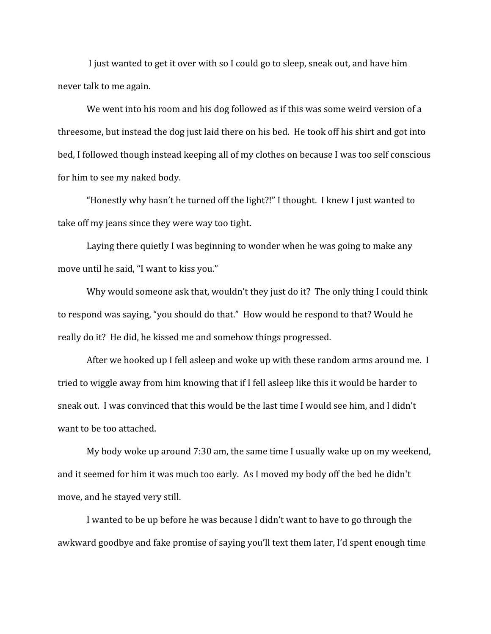I just wanted to get it over with so I could go to sleep, sneak out, and have him never talk to me again.

We went into his room and his dog followed as if this was some weird version of a threesome, but instead the dog just laid there on his bed. He took off his shirt and got into bed, I followed though instead keeping all of my clothes on because I was too self conscious for him to see my naked body.

"Honestly why hasn't he turned off the light?!" I thought. I knew I just wanted to take off my jeans since they were way too tight.

Laying there quietly I was beginning to wonder when he was going to make any move until he said, "I want to kiss you."

Why would someone ask that, wouldn't they just do it? The only thing I could think to respond was saying, "you should do that." How would he respond to that? Would he really do it? He did, he kissed me and somehow things progressed.

After we hooked up I fell asleep and woke up with these random arms around me. I tried to wiggle away from him knowing that if I fell asleep like this it would be harder to sneak out. I was convinced that this would be the last time I would see him, and I didn't want to be too attached.

My body woke up around 7:30 am, the same time I usually wake up on my weekend, and it seemed for him it was much too early. As I moved my body off the bed he didn't move, and he stayed very still.

I wanted to be up before he was because I didn't want to have to go through the awkward goodbye and fake promise of saying you'll text them later, I'd spent enough time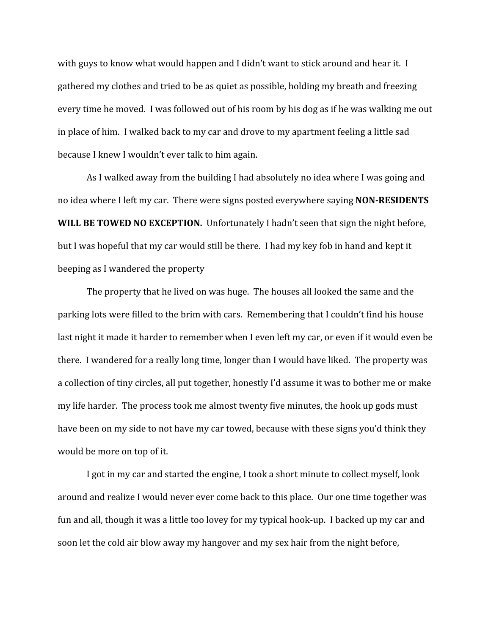with guys to know what would happen and I didn't want to stick around and hear it. I gathered my clothes and tried to be as quiet as possible, holding my breath and freezing every time he moved. I was followed out of his room by his dog as if he was walking me out in place of him. I walked back to my car and drove to my apartment feeling a little sad because I knew I wouldn't ever talk to him again.

As I walked away from the building I had absolutely no idea where I was going and no idea where I left my car. There were signs posted everywhere saying **NON-RESIDENTS WILL BE TOWED NO EXCEPTION.** Unfortunately I hadn't seen that sign the night before, but I was hopeful that my car would still be there. I had my key fob in hand and kept it beeping as I wandered the property

The property that he lived on was huge. The houses all looked the same and the parking lots were filled to the brim with cars. Remembering that I couldn't find his house last night it made it harder to remember when I even left my car, or even if it would even be there. I wandered for a really long time, longer than I would have liked. The property was a collection of tiny circles, all put together, honestly I'd assume it was to bother me or make my life harder. The process took me almost twenty five minutes, the hook up gods must have been on my side to not have my car towed, because with these signs you'd think they would be more on top of it.

I got in my car and started the engine, I took a short minute to collect myself, look around and realize I would never ever come back to this place. Our one time together was fun and all, though it was a little too lovey for my typical hook-up. I backed up my car and soon let the cold air blow away my hangover and my sex hair from the night before,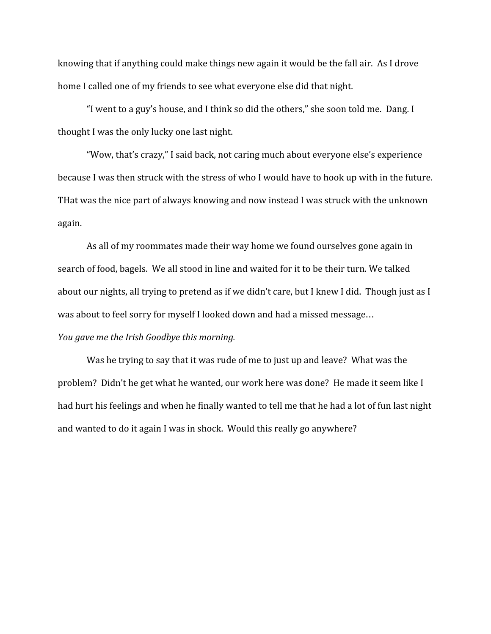knowing that if anything could make things new again it would be the fall air. As I drove home I called one of my friends to see what everyone else did that night.

"I went to a guy's house, and I think so did the others," she soon told me. Dang. I thought I was the only lucky one last night.

"Wow, that's crazy," I said back, not caring much about everyone else's experience because I was then struck with the stress of who I would have to hook up with in the future. THat was the nice part of always knowing and now instead I was struck with the unknown again.

As all of my roommates made their way home we found ourselves gone again in search of food, bagels. We all stood in line and waited for it to be their turn. We talked about our nights, all trying to pretend as if we didn't care, but I knew I did. Though just as I was about to feel sorry for myself I looked down and had a missed message… *You gave me the Irish Goodbye this morning.*

Was he trying to say that it was rude of me to just up and leave? What was the problem? Didn't he get what he wanted, our work here was done? He made it seem like I had hurt his feelings and when he finally wanted to tell me that he had a lot of fun last night and wanted to do it again I was in shock. Would this really go anywhere?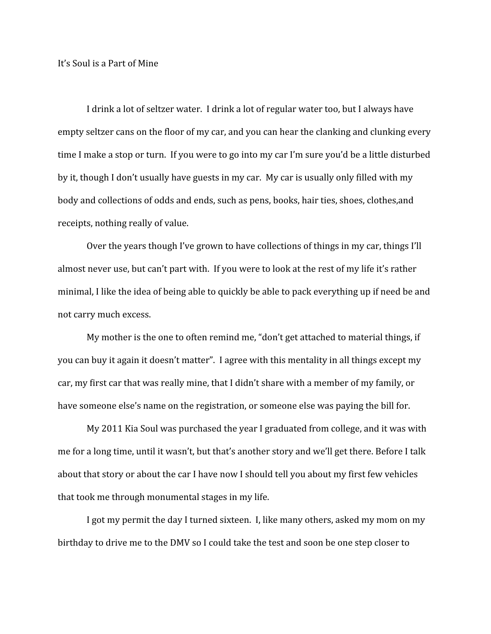### It's Soul is a Part of Mine

I drink a lot of seltzer water. I drink a lot of regular water too, but I always have empty seltzer cans on the floor of my car, and you can hear the clanking and clunking every time I make a stop or turn. If you were to go into my car I'm sure you'd be a little disturbed by it, though I don't usually have guests in my car. My car is usually only filled with my body and collections of odds and ends, such as pens, books, hair ties, shoes, clothes,and receipts, nothing really of value.

Over the years though I've grown to have collections of things in my car, things I'll almost never use, but can't part with. If you were to look at the rest of my life it's rather minimal, I like the idea of being able to quickly be able to pack everything up if need be and not carry much excess.

My mother is the one to often remind me, "don't get attached to material things, if you can buy it again it doesn't matter". I agree with this mentality in all things except my car, my first car that was really mine, that I didn't share with a member of my family, or have someone else's name on the registration, or someone else was paying the bill for.

My 2011 Kia Soul was purchased the year I graduated from college, and it was with me for a long time, until it wasn't, but that's another story and we'll get there. Before I talk about that story or about the car I have now I should tell you about my first few vehicles that took me through monumental stages in my life.

I got my permit the day I turned sixteen. I, like many others, asked my mom on my birthday to drive me to the DMV so I could take the test and soon be one step closer to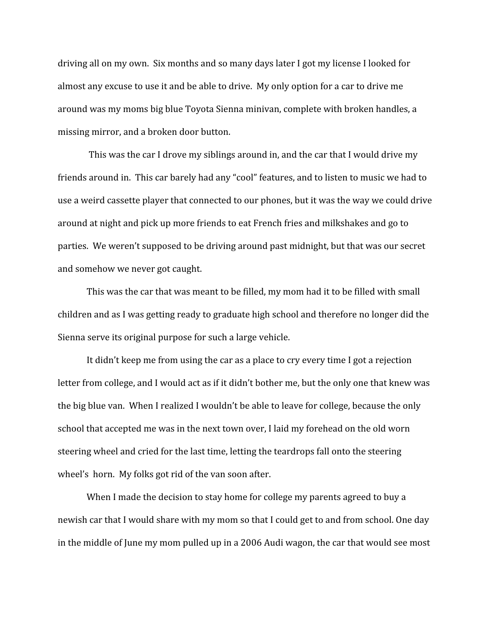driving all on my own. Six months and so many days later I got my license I looked for almost any excuse to use it and be able to drive. My only option for a car to drive me around was my moms big blue Toyota Sienna minivan, complete with broken handles, a missing mirror, and a broken door button.

 This was the car I drove my siblings around in, and the car that I would drive my friends around in. This car barely had any "cool" features, and to listen to music we had to use a weird cassette player that connected to our phones, but it was the way we could drive around at night and pick up more friends to eat French fries and milkshakes and go to parties. We weren't supposed to be driving around past midnight, but that was our secret and somehow we never got caught.

This was the car that was meant to be filled, my mom had it to be filled with small children and as I was getting ready to graduate high school and therefore no longer did the Sienna serve its original purpose for such a large vehicle.

It didn't keep me from using the car as a place to cry every time I got a rejection letter from college, and I would act as if it didn't bother me, but the only one that knew was the big blue van. When I realized I wouldn't be able to leave for college, because the only school that accepted me was in the next town over, I laid my forehead on the old worn steering wheel and cried for the last time, letting the teardrops fall onto the steering wheel's horn. My folks got rid of the van soon after.

When I made the decision to stay home for college my parents agreed to buy a newish car that I would share with my mom so that I could get to and from school. One day in the middle of June my mom pulled up in a 2006 Audi wagon, the car that would see most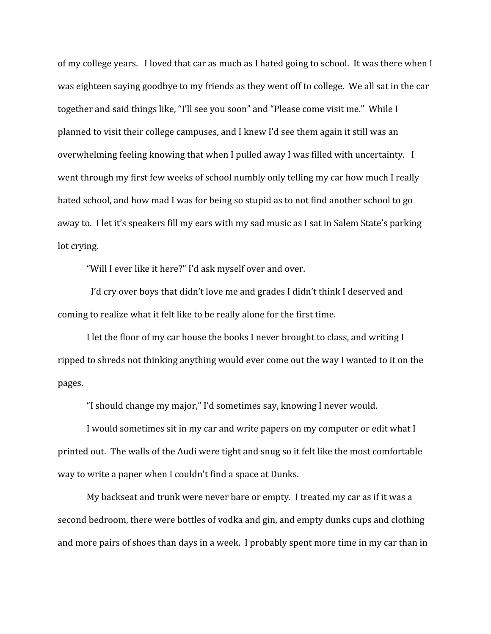of my college years. I loved that car as much as I hated going to school. It was there when I was eighteen saying goodbye to my friends as they went off to college. We all sat in the car together and said things like, "I'll see you soon" and "Please come visit me." While I planned to visit their college campuses, and I knew I'd see them again it still was an overwhelming feeling knowing that when I pulled away I was filled with uncertainty. I went through my first few weeks of school numbly only telling my car how much I really hated school, and how mad I was for being so stupid as to not find another school to go away to. I let it's speakers fill my ears with my sad music as I sat in Salem State's parking lot crying.

"Will I ever like it here?" I'd ask myself over and over.

 I'd cry over boys that didn't love me and grades I didn't think I deserved and coming to realize what it felt like to be really alone for the first time.

I let the floor of my car house the books I never brought to class, and writing I ripped to shreds not thinking anything would ever come out the way I wanted to it on the pages.

"I should change my major," I'd sometimes say, knowing I never would.

I would sometimes sit in my car and write papers on my computer or edit what I printed out. The walls of the Audi were tight and snug so it felt like the most comfortable way to write a paper when I couldn't find a space at Dunks.

My backseat and trunk were never bare or empty. I treated my car as if it was a second bedroom, there were bottles of vodka and gin, and empty dunks cups and clothing and more pairs of shoes than days in a week. I probably spent more time in my car than in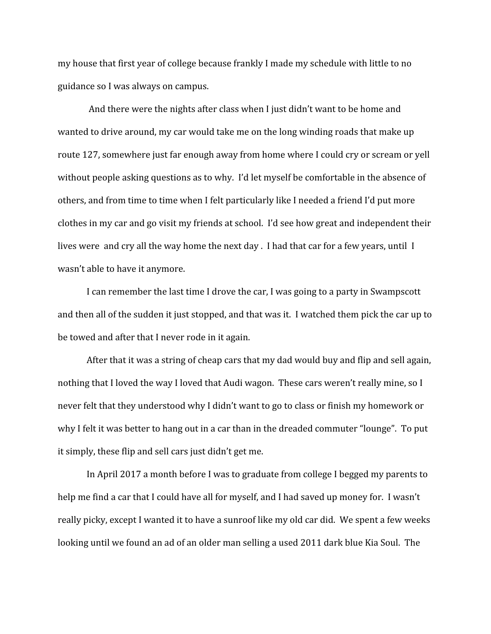my house that first year of college because frankly I made my schedule with little to no guidance so I was always on campus.

 And there were the nights after class when I just didn't want to be home and wanted to drive around, my car would take me on the long winding roads that make up route 127, somewhere just far enough away from home where I could cry or scream or yell without people asking questions as to why. I'd let myself be comfortable in the absence of others, and from time to time when I felt particularly like I needed a friend I'd put more clothes in my car and go visit my friends at school. I'd see how great and independent their lives were and cry all the way home the next day . I had that car for a few years, until I wasn't able to have it anymore.

I can remember the last time I drove the car, I was going to a party in Swampscott and then all of the sudden it just stopped, and that was it. I watched them pick the car up to be towed and after that I never rode in it again.

After that it was a string of cheap cars that my dad would buy and flip and sell again, nothing that I loved the way I loved that Audi wagon. These cars weren't really mine, so I never felt that they understood why I didn't want to go to class or finish my homework or why I felt it was better to hang out in a car than in the dreaded commuter "lounge". To put it simply, these flip and sell cars just didn't get me.

In April 2017 a month before I was to graduate from college I begged my parents to help me find a car that I could have all for myself, and I had saved up money for. I wasn't really picky, except I wanted it to have a sunroof like my old car did. We spent a few weeks looking until we found an ad of an older man selling a used 2011 dark blue Kia Soul. The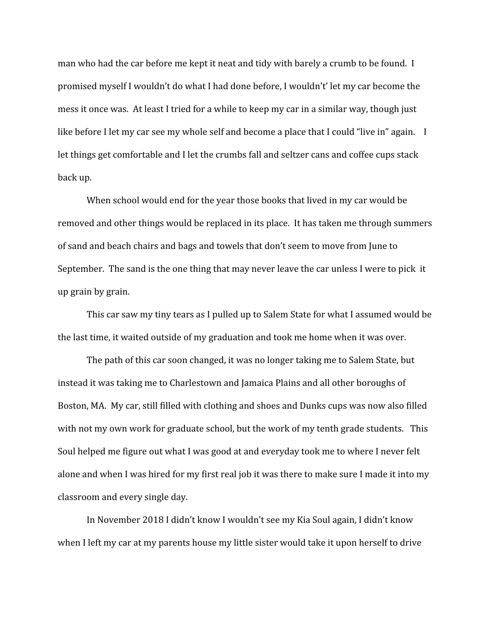man who had the car before me kept it neat and tidy with barely a crumb to be found. I promised myself I wouldn't do what I had done before, I wouldn't' let my car become the mess it once was. At least I tried for a while to keep my car in a similar way, though just like before I let my car see my whole self and become a place that I could "live in" again. I let things get comfortable and I let the crumbs fall and seltzer cans and coffee cups stack back up.

When school would end for the year those books that lived in my car would be removed and other things would be replaced in its place. It has taken me through summers of sand and beach chairs and bags and towels that don't seem to move from June to September. The sand is the one thing that may never leave the car unless I were to pick it up grain by grain.

This car saw my tiny tears as I pulled up to Salem State for what I assumed would be the last time, it waited outside of my graduation and took me home when it was over.

The path of this car soon changed, it was no longer taking me to Salem State, but instead it was taking me to Charlestown and Jamaica Plains and all other boroughs of Boston, MA. My car, still filled with clothing and shoes and Dunks cups was now also filled with not my own work for graduate school, but the work of my tenth grade students. This Soul helped me figure out what I was good at and everyday took me to where I never felt alone and when I was hired for my first real job it was there to make sure I made it into my classroom and every single day.

In November 2018 I didn't know I wouldn't see my Kia Soul again, I didn't know when I left my car at my parents house my little sister would take it upon herself to drive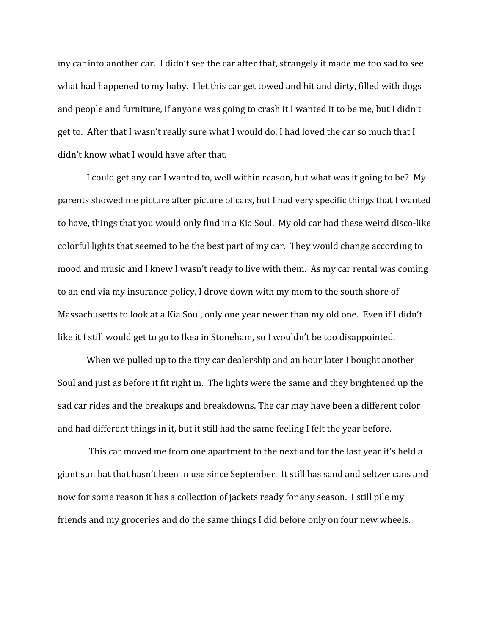my car into another car. I didn't see the car after that, strangely it made me too sad to see what had happened to my baby. I let this car get towed and hit and dirty, filled with dogs and people and furniture, if anyone was going to crash it I wanted it to be me, but I didn't get to. After that I wasn't really sure what I would do, I had loved the car so much that I didn't know what I would have after that.

I could get any car I wanted to, well within reason, but what was it going to be? My parents showed me picture after picture of cars, but I had very specific things that I wanted to have, things that you would only find in a Kia Soul. My old car had these weird disco-like colorful lights that seemed to be the best part of my car. They would change according to mood and music and I knew I wasn't ready to live with them. As my car rental was coming to an end via my insurance policy, I drove down with my mom to the south shore of Massachusetts to look at a Kia Soul, only one year newer than my old one. Even if I didn't like it I still would get to go to Ikea in Stoneham, so I wouldn't be too disappointed.

When we pulled up to the tiny car dealership and an hour later I bought another Soul and just as before it fit right in. The lights were the same and they brightened up the sad car rides and the breakups and breakdowns. The car may have been a different color and had different things in it, but it still had the same feeling I felt the year before.

 This car moved me from one apartment to the next and for the last year it's held a giant sun hat that hasn't been in use since September. It still has sand and seltzer cans and now for some reason it has a collection of jackets ready for any season. I still pile my friends and my groceries and do the same things I did before only on four new wheels.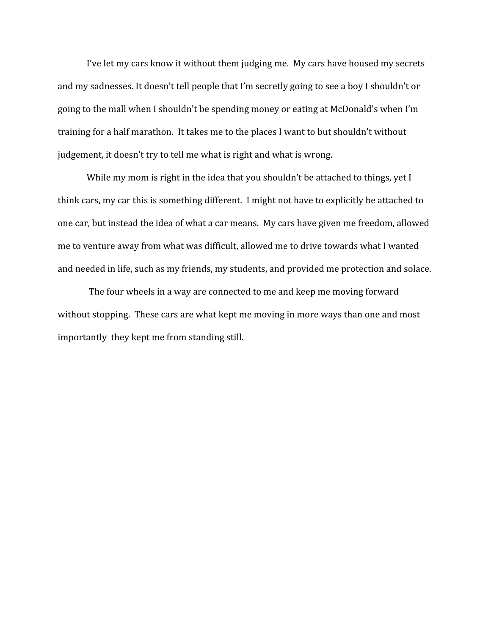I've let my cars know it without them judging me. My cars have housed my secrets and my sadnesses. It doesn't tell people that I'm secretly going to see a boy I shouldn't or going to the mall when I shouldn't be spending money or eating at McDonald's when I'm training for a half marathon. It takes me to the places I want to but shouldn't without judgement, it doesn't try to tell me what is right and what is wrong.

While my mom is right in the idea that you shouldn't be attached to things, yet I think cars, my car this is something different. I might not have to explicitly be attached to one car, but instead the idea of what a car means. My cars have given me freedom, allowed me to venture away from what was difficult, allowed me to drive towards what I wanted and needed in life, such as my friends, my students, and provided me protection and solace.

 The four wheels in a way are connected to me and keep me moving forward without stopping. These cars are what kept me moving in more ways than one and most importantly they kept me from standing still.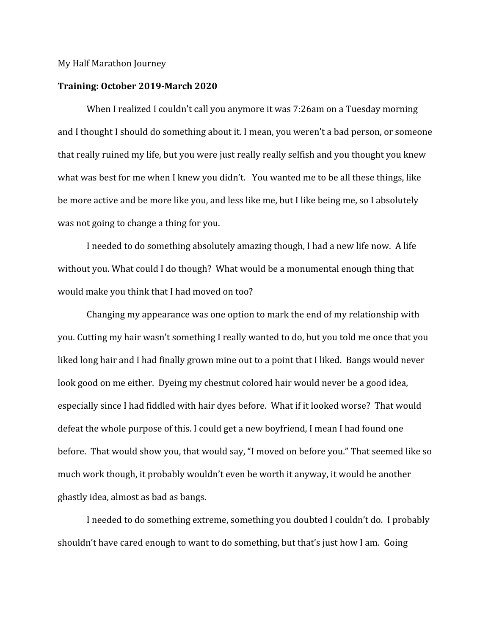#### My Half Marathon Journey

#### **Training: October 2019-March 2020**

When I realized I couldn't call you anymore it was 7:26am on a Tuesday morning and I thought I should do something about it. I mean, you weren't a bad person, or someone that really ruined my life, but you were just really really selfish and you thought you knew what was best for me when I knew you didn't. You wanted me to be all these things, like be more active and be more like you, and less like me, but I like being me, so I absolutely was not going to change a thing for you.

I needed to do something absolutely amazing though, I had a new life now. A life without you. What could I do though? What would be a monumental enough thing that would make you think that I had moved on too?

Changing my appearance was one option to mark the end of my relationship with you. Cutting my hair wasn't something I really wanted to do, but you told me once that you liked long hair and I had finally grown mine out to a point that I liked. Bangs would never look good on me either. Dyeing my chestnut colored hair would never be a good idea, especially since I had fiddled with hair dyes before. What if it looked worse? That would defeat the whole purpose of this. I could get a new boyfriend, I mean I had found one before. That would show you, that would say, "I moved on before you." That seemed like so much work though, it probably wouldn't even be worth it anyway, it would be another ghastly idea, almost as bad as bangs.

I needed to do something extreme, something you doubted I couldn't do. I probably shouldn't have cared enough to want to do something, but that's just how I am. Going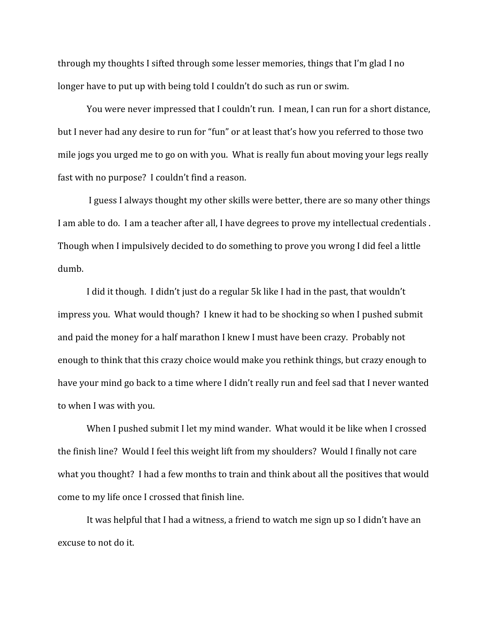through my thoughts I sifted through some lesser memories, things that I'm glad I no longer have to put up with being told I couldn't do such as run or swim.

You were never impressed that I couldn't run. I mean, I can run for a short distance, but I never had any desire to run for "fun" or at least that's how you referred to those two mile jogs you urged me to go on with you. What is really fun about moving your legs really fast with no purpose? I couldn't find a reason.

 I guess I always thought my other skills were better, there are so many other things I am able to do. I am a teacher after all, I have degrees to prove my intellectual credentials . Though when I impulsively decided to do something to prove you wrong I did feel a little dumb.

I did it though. I didn't just do a regular 5k like I had in the past, that wouldn't impress you. What would though? I knew it had to be shocking so when I pushed submit and paid the money for a half marathon I knew I must have been crazy. Probably not enough to think that this crazy choice would make you rethink things, but crazy enough to have your mind go back to a time where I didn't really run and feel sad that I never wanted to when I was with you.

When I pushed submit I let my mind wander. What would it be like when I crossed the finish line? Would I feel this weight lift from my shoulders? Would I finally not care what you thought? I had a few months to train and think about all the positives that would come to my life once I crossed that finish line.

It was helpful that I had a witness, a friend to watch me sign up so I didn't have an excuse to not do it.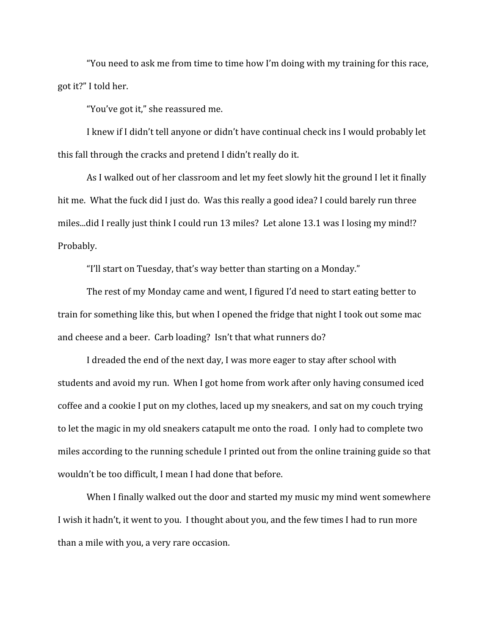"You need to ask me from time to time how I'm doing with my training for this race, got it?" I told her.

"You've got it," she reassured me.

I knew if I didn't tell anyone or didn't have continual check ins I would probably let this fall through the cracks and pretend I didn't really do it.

As I walked out of her classroom and let my feet slowly hit the ground I let it finally hit me. What the fuck did I just do. Was this really a good idea? I could barely run three miles...did I really just think I could run 13 miles? Let alone 13.1 was I losing my mind!? Probably.

"I'll start on Tuesday, that's way better than starting on a Monday."

The rest of my Monday came and went, I figured I'd need to start eating better to train for something like this, but when I opened the fridge that night I took out some mac and cheese and a beer. Carb loading? Isn't that what runners do?

I dreaded the end of the next day, I was more eager to stay after school with students and avoid my run. When I got home from work after only having consumed iced coffee and a cookie I put on my clothes, laced up my sneakers, and sat on my couch trying to let the magic in my old sneakers catapult me onto the road. I only had to complete two miles according to the running schedule I printed out from the online training guide so that wouldn't be too difficult, I mean I had done that before.

When I finally walked out the door and started my music my mind went somewhere I wish it hadn't, it went to you. I thought about you, and the few times I had to run more than a mile with you, a very rare occasion.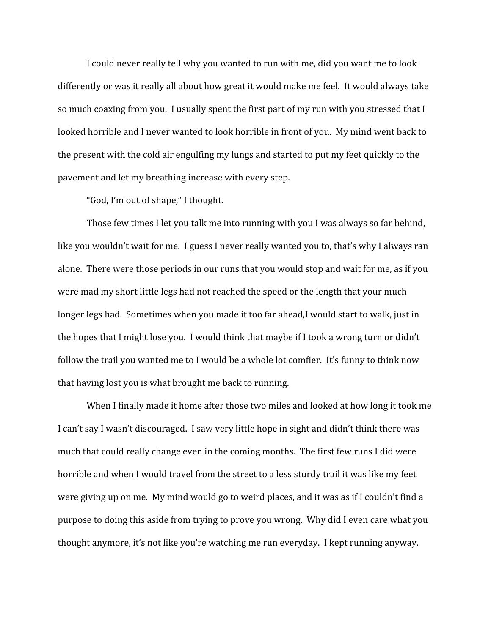I could never really tell why you wanted to run with me, did you want me to look differently or was it really all about how great it would make me feel. It would always take so much coaxing from you. I usually spent the first part of my run with you stressed that I looked horrible and I never wanted to look horrible in front of you. My mind went back to the present with the cold air engulfing my lungs and started to put my feet quickly to the pavement and let my breathing increase with every step.

"God, I'm out of shape," I thought.

Those few times I let you talk me into running with you I was always so far behind, like you wouldn't wait for me. I guess I never really wanted you to, that's why I always ran alone. There were those periods in our runs that you would stop and wait for me, as if you were mad my short little legs had not reached the speed or the length that your much longer legs had. Sometimes when you made it too far ahead,I would start to walk, just in the hopes that I might lose you. I would think that maybe if I took a wrong turn or didn't follow the trail you wanted me to I would be a whole lot comfier. It's funny to think now that having lost you is what brought me back to running.

When I finally made it home after those two miles and looked at how long it took me I can't say I wasn't discouraged. I saw very little hope in sight and didn't think there was much that could really change even in the coming months. The first few runs I did were horrible and when I would travel from the street to a less sturdy trail it was like my feet were giving up on me. My mind would go to weird places, and it was as if I couldn't find a purpose to doing this aside from trying to prove you wrong. Why did I even care what you thought anymore, it's not like you're watching me run everyday. I kept running anyway.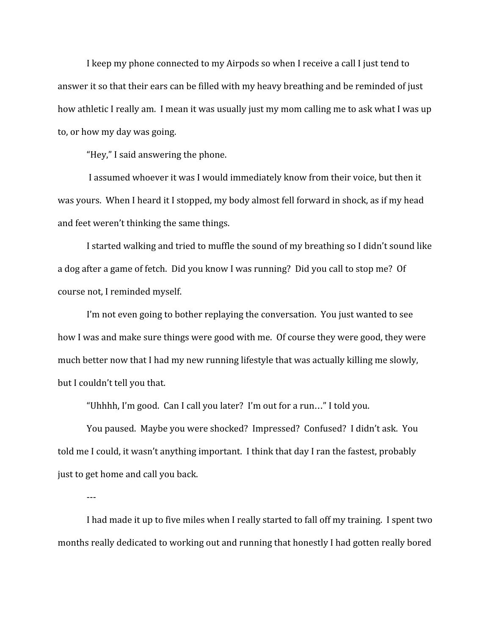I keep my phone connected to my Airpods so when I receive a call I just tend to answer it so that their ears can be filled with my heavy breathing and be reminded of just how athletic I really am. I mean it was usually just my mom calling me to ask what I was up to, or how my day was going.

"Hey," I said answering the phone.

 I assumed whoever it was I would immediately know from their voice, but then it was yours. When I heard it I stopped, my body almost fell forward in shock, as if my head and feet weren't thinking the same things.

I started walking and tried to muffle the sound of my breathing so I didn't sound like a dog after a game of fetch. Did you know I was running? Did you call to stop me? Of course not, I reminded myself.

I'm not even going to bother replaying the conversation. You just wanted to see how I was and make sure things were good with me. Of course they were good, they were much better now that I had my new running lifestyle that was actually killing me slowly, but I couldn't tell you that.

"Uhhhh, I'm good. Can I call you later? I'm out for a run…" I told you.

You paused. Maybe you were shocked? Impressed? Confused? I didn't ask. You told me I could, it wasn't anything important. I think that day I ran the fastest, probably just to get home and call you back.

---

I had made it up to five miles when I really started to fall off my training. I spent two months really dedicated to working out and running that honestly I had gotten really bored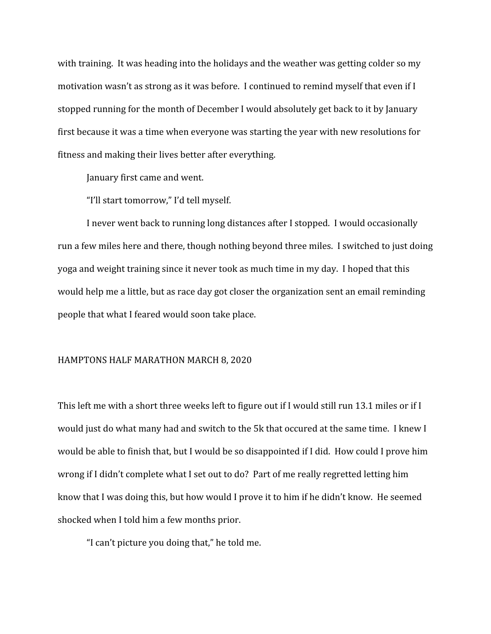with training. It was heading into the holidays and the weather was getting colder so my motivation wasn't as strong as it was before. I continued to remind myself that even if I stopped running for the month of December I would absolutely get back to it by January first because it was a time when everyone was starting the year with new resolutions for fitness and making their lives better after everything.

January first came and went.

"I'll start tomorrow," I'd tell myself.

I never went back to running long distances after I stopped. I would occasionally run a few miles here and there, though nothing beyond three miles. I switched to just doing yoga and weight training since it never took as much time in my day. I hoped that this would help me a little, but as race day got closer the organization sent an email reminding people that what I feared would soon take place.

#### HAMPTONS HALF MARATHON MARCH 8, 2020

This left me with a short three weeks left to figure out if I would still run 13.1 miles or if I would just do what many had and switch to the 5k that occured at the same time. I knew I would be able to finish that, but I would be so disappointed if I did. How could I prove him wrong if I didn't complete what I set out to do? Part of me really regretted letting him know that I was doing this, but how would I prove it to him if he didn't know. He seemed shocked when I told him a few months prior.

"I can't picture you doing that," he told me.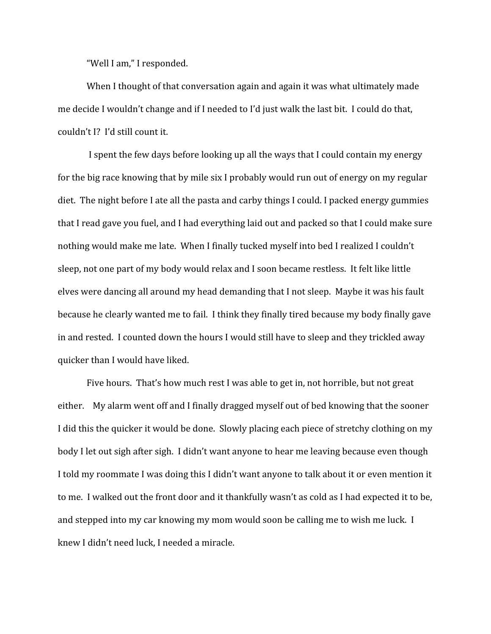"Well I am," I responded.

When I thought of that conversation again and again it was what ultimately made me decide I wouldn't change and if I needed to I'd just walk the last bit. I could do that, couldn't I? I'd still count it.

 I spent the few days before looking up all the ways that I could contain my energy for the big race knowing that by mile six I probably would run out of energy on my regular diet. The night before I ate all the pasta and carby things I could. I packed energy gummies that I read gave you fuel, and I had everything laid out and packed so that I could make sure nothing would make me late. When I finally tucked myself into bed I realized I couldn't sleep, not one part of my body would relax and I soon became restless. It felt like little elves were dancing all around my head demanding that I not sleep. Maybe it was his fault because he clearly wanted me to fail. I think they finally tired because my body finally gave in and rested. I counted down the hours I would still have to sleep and they trickled away quicker than I would have liked.

Five hours. That's how much rest I was able to get in, not horrible, but not great either. My alarm went off and I finally dragged myself out of bed knowing that the sooner I did this the quicker it would be done. Slowly placing each piece of stretchy clothing on my body I let out sigh after sigh. I didn't want anyone to hear me leaving because even though I told my roommate I was doing this I didn't want anyone to talk about it or even mention it to me. I walked out the front door and it thankfully wasn't as cold as I had expected it to be, and stepped into my car knowing my mom would soon be calling me to wish me luck. I knew I didn't need luck, I needed a miracle.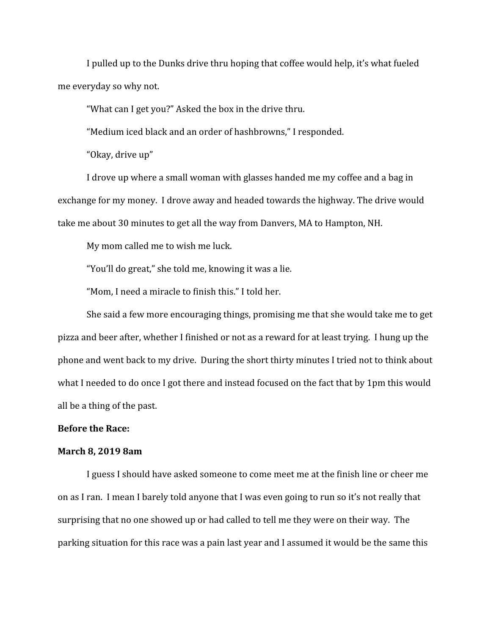I pulled up to the Dunks drive thru hoping that coffee would help, it's what fueled me everyday so why not.

"What can I get you?" Asked the box in the drive thru.

"Medium iced black and an order of hashbrowns," I responded.

"Okay, drive up"

I drove up where a small woman with glasses handed me my coffee and a bag in exchange for my money. I drove away and headed towards the highway. The drive would take me about 30 minutes to get all the way from Danvers, MA to Hampton, NH.

My mom called me to wish me luck.

"You'll do great," she told me, knowing it was a lie.

"Mom, I need a miracle to finish this." I told her.

She said a few more encouraging things, promising me that she would take me to get pizza and beer after, whether I finished or not as a reward for at least trying. I hung up the phone and went back to my drive. During the short thirty minutes I tried not to think about what I needed to do once I got there and instead focused on the fact that by 1pm this would all be a thing of the past.

# **Before the Race:**

#### **March 8, 2019 8am**

I guess I should have asked someone to come meet me at the finish line or cheer me on as I ran. I mean I barely told anyone that I was even going to run so it's not really that surprising that no one showed up or had called to tell me they were on their way. The parking situation for this race was a pain last year and I assumed it would be the same this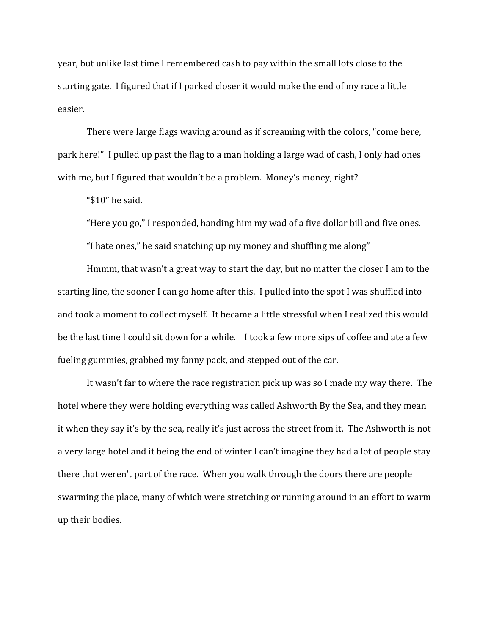year, but unlike last time I remembered cash to pay within the small lots close to the starting gate. I figured that if I parked closer it would make the end of my race a little easier.

There were large flags waving around as if screaming with the colors, "come here, park here!" I pulled up past the flag to a man holding a large wad of cash, I only had ones with me, but I figured that wouldn't be a problem. Money's money, right?

"\$10" he said.

"Here you go," I responded, handing him my wad of a five dollar bill and five ones.

"I hate ones," he said snatching up my money and shuffling me along"

Hmmm, that wasn't a great way to start the day, but no matter the closer I am to the starting line, the sooner I can go home after this. I pulled into the spot I was shuffled into and took a moment to collect myself. It became a little stressful when I realized this would be the last time I could sit down for a while. I took a few more sips of coffee and ate a few fueling gummies, grabbed my fanny pack, and stepped out of the car.

It wasn't far to where the race registration pick up was so I made my way there. The hotel where they were holding everything was called Ashworth By the Sea, and they mean it when they say it's by the sea, really it's just across the street from it. The Ashworth is not a very large hotel and it being the end of winter I can't imagine they had a lot of people stay there that weren't part of the race. When you walk through the doors there are people swarming the place, many of which were stretching or running around in an effort to warm up their bodies.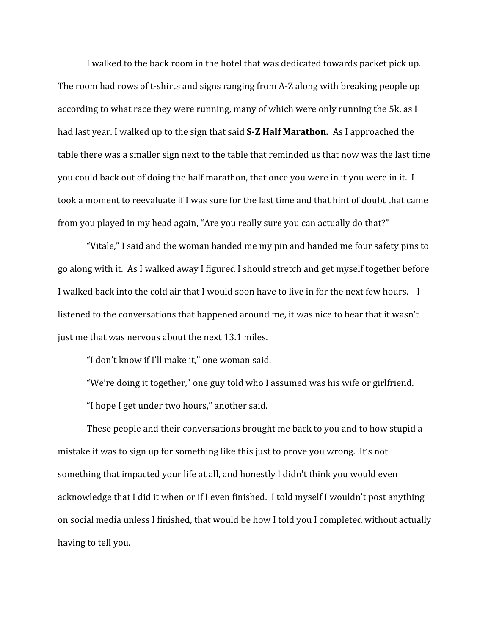I walked to the back room in the hotel that was dedicated towards packet pick up. The room had rows of t-shirts and signs ranging from A-Z along with breaking people up according to what race they were running, many of which were only running the 5k, as I had last year. I walked up to the sign that said **S-Z Half Marathon.** As I approached the table there was a smaller sign next to the table that reminded us that now was the last time you could back out of doing the half marathon, that once you were in it you were in it. I took a moment to reevaluate if I was sure for the last time and that hint of doubt that came from you played in my head again, "Are you really sure you can actually do that?"

"Vitale," I said and the woman handed me my pin and handed me four safety pins to go along with it. As I walked away I figured I should stretch and get myself together before I walked back into the cold air that I would soon have to live in for the next few hours. I listened to the conversations that happened around me, it was nice to hear that it wasn't just me that was nervous about the next 13.1 miles.

"I don't know if I'll make it," one woman said.

"We're doing it together," one guy told who I assumed was his wife or girlfriend.

"I hope I get under two hours," another said.

These people and their conversations brought me back to you and to how stupid a mistake it was to sign up for something like this just to prove you wrong. It's not something that impacted your life at all, and honestly I didn't think you would even acknowledge that I did it when or if I even finished. I told myself I wouldn't post anything on social media unless I finished, that would be how I told you I completed without actually having to tell you.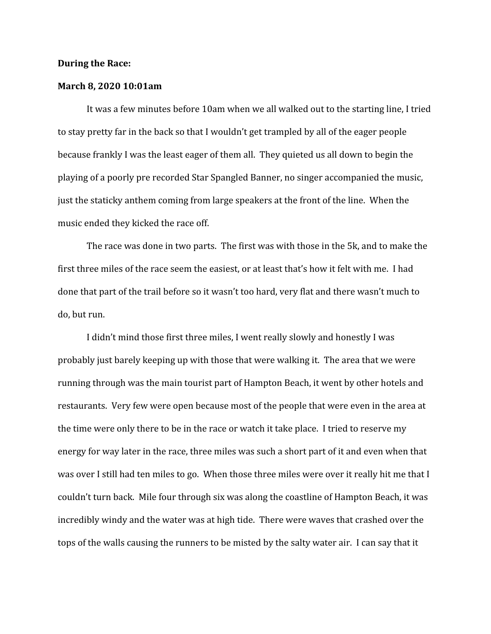### **During the Race:**

## **March 8, 2020 10:01am**

It was a few minutes before 10am when we all walked out to the starting line, I tried to stay pretty far in the back so that I wouldn't get trampled by all of the eager people because frankly I was the least eager of them all. They quieted us all down to begin the playing of a poorly pre recorded Star Spangled Banner, no singer accompanied the music, just the staticky anthem coming from large speakers at the front of the line. When the music ended they kicked the race off.

The race was done in two parts. The first was with those in the 5k, and to make the first three miles of the race seem the easiest, or at least that's how it felt with me. I had done that part of the trail before so it wasn't too hard, very flat and there wasn't much to do, but run.

I didn't mind those first three miles, I went really slowly and honestly I was probably just barely keeping up with those that were walking it. The area that we were running through was the main tourist part of Hampton Beach, it went by other hotels and restaurants. Very few were open because most of the people that were even in the area at the time were only there to be in the race or watch it take place. I tried to reserve my energy for way later in the race, three miles was such a short part of it and even when that was over I still had ten miles to go. When those three miles were over it really hit me that I couldn't turn back. Mile four through six was along the coastline of Hampton Beach, it was incredibly windy and the water was at high tide. There were waves that crashed over the tops of the walls causing the runners to be misted by the salty water air. I can say that it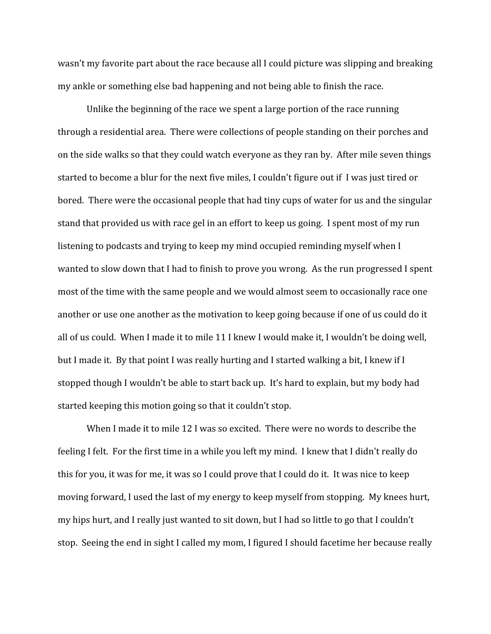wasn't my favorite part about the race because all I could picture was slipping and breaking my ankle or something else bad happening and not being able to finish the race.

Unlike the beginning of the race we spent a large portion of the race running through a residential area. There were collections of people standing on their porches and on the side walks so that they could watch everyone as they ran by. After mile seven things started to become a blur for the next five miles, I couldn't figure out if I was just tired or bored. There were the occasional people that had tiny cups of water for us and the singular stand that provided us with race gel in an effort to keep us going. I spent most of my run listening to podcasts and trying to keep my mind occupied reminding myself when I wanted to slow down that I had to finish to prove you wrong. As the run progressed I spent most of the time with the same people and we would almost seem to occasionally race one another or use one another as the motivation to keep going because if one of us could do it all of us could. When I made it to mile 11 I knew I would make it, I wouldn't be doing well, but I made it. By that point I was really hurting and I started walking a bit, I knew if I stopped though I wouldn't be able to start back up. It's hard to explain, but my body had started keeping this motion going so that it couldn't stop.

When I made it to mile 12 I was so excited. There were no words to describe the feeling I felt. For the first time in a while you left my mind. I knew that I didn't really do this for you, it was for me, it was so I could prove that I could do it. It was nice to keep moving forward, I used the last of my energy to keep myself from stopping. My knees hurt, my hips hurt, and I really just wanted to sit down, but I had so little to go that I couldn't stop. Seeing the end in sight I called my mom, I figured I should facetime her because really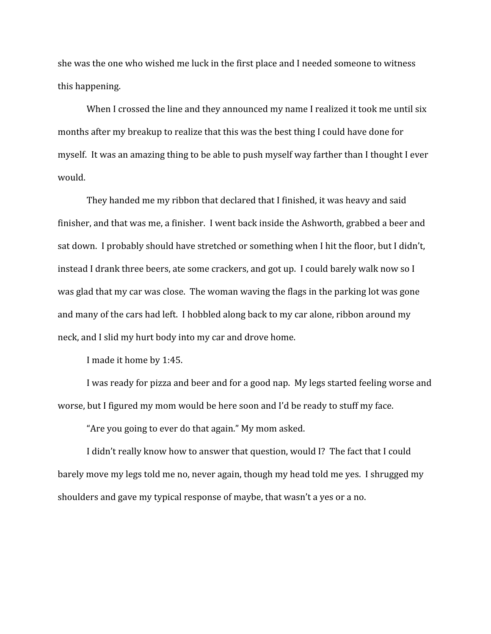she was the one who wished me luck in the first place and I needed someone to witness this happening.

When I crossed the line and they announced my name I realized it took me until six months after my breakup to realize that this was the best thing I could have done for myself. It was an amazing thing to be able to push myself way farther than I thought I ever would.

They handed me my ribbon that declared that I finished, it was heavy and said finisher, and that was me, a finisher. I went back inside the Ashworth, grabbed a beer and sat down. I probably should have stretched or something when I hit the floor, but I didn't, instead I drank three beers, ate some crackers, and got up. I could barely walk now so I was glad that my car was close. The woman waving the flags in the parking lot was gone and many of the cars had left. I hobbled along back to my car alone, ribbon around my neck, and I slid my hurt body into my car and drove home.

I made it home by 1:45.

I was ready for pizza and beer and for a good nap. My legs started feeling worse and worse, but I figured my mom would be here soon and I'd be ready to stuff my face.

"Are you going to ever do that again." My mom asked.

I didn't really know how to answer that question, would I? The fact that I could barely move my legs told me no, never again, though my head told me yes. I shrugged my shoulders and gave my typical response of maybe, that wasn't a yes or a no.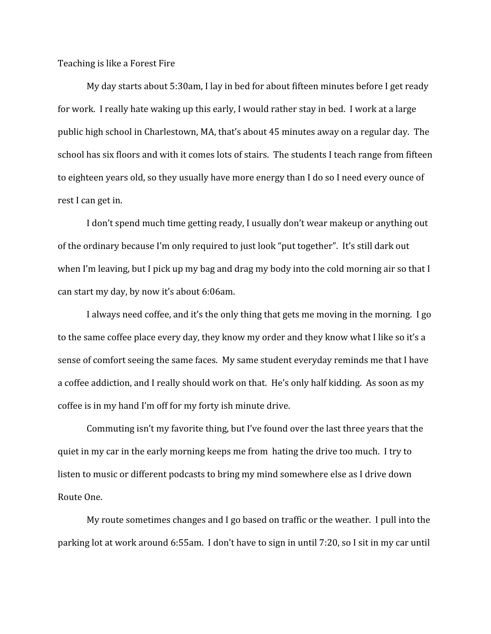Teaching is like a Forest Fire

My day starts about 5:30am, I lay in bed for about fifteen minutes before I get ready for work. I really hate waking up this early, I would rather stay in bed. I work at a large public high school in Charlestown, MA, that's about 45 minutes away on a regular day. The school has six floors and with it comes lots of stairs. The students I teach range from fifteen to eighteen years old, so they usually have more energy than I do so I need every ounce of rest I can get in.

I don't spend much time getting ready, I usually don't wear makeup or anything out of the ordinary because I'm only required to just look "put together". It's still dark out when I'm leaving, but I pick up my bag and drag my body into the cold morning air so that I can start my day, by now it's about 6:06am.

I always need coffee, and it's the only thing that gets me moving in the morning. I go to the same coffee place every day, they know my order and they know what I like so it's a sense of comfort seeing the same faces. My same student everyday reminds me that I have a coffee addiction, and I really should work on that. He's only half kidding. As soon as my coffee is in my hand I'm off for my forty ish minute drive.

Commuting isn't my favorite thing, but I've found over the last three years that the quiet in my car in the early morning keeps me from hating the drive too much. I try to listen to music or different podcasts to bring my mind somewhere else as I drive down Route One.

My route sometimes changes and I go based on traffic or the weather. I pull into the parking lot at work around 6:55am. I don't have to sign in until 7:20, so I sit in my car until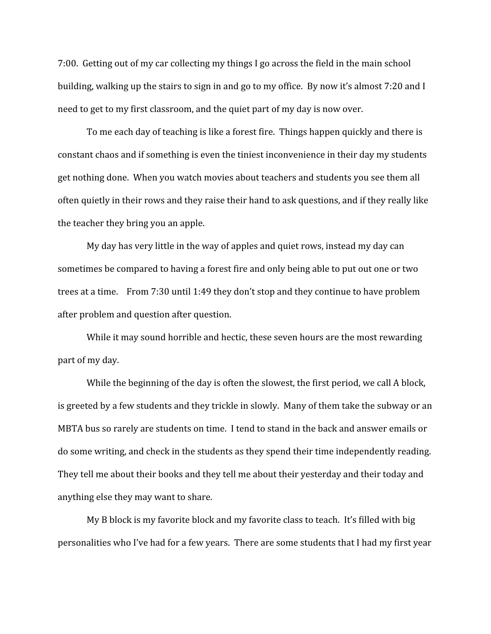7:00. Getting out of my car collecting my things I go across the field in the main school building, walking up the stairs to sign in and go to my office. By now it's almost 7:20 and I need to get to my first classroom, and the quiet part of my day is now over.

To me each day of teaching is like a forest fire. Things happen quickly and there is constant chaos and if something is even the tiniest inconvenience in their day my students get nothing done. When you watch movies about teachers and students you see them all often quietly in their rows and they raise their hand to ask questions, and if they really like the teacher they bring you an apple.

My day has very little in the way of apples and quiet rows, instead my day can sometimes be compared to having a forest fire and only being able to put out one or two trees at a time. From 7:30 until 1:49 they don't stop and they continue to have problem after problem and question after question.

While it may sound horrible and hectic, these seven hours are the most rewarding part of my day.

While the beginning of the day is often the slowest, the first period, we call A block, is greeted by a few students and they trickle in slowly. Many of them take the subway or an MBTA bus so rarely are students on time. I tend to stand in the back and answer emails or do some writing, and check in the students as they spend their time independently reading. They tell me about their books and they tell me about their yesterday and their today and anything else they may want to share.

My B block is my favorite block and my favorite class to teach. It's filled with big personalities who I've had for a few years. There are some students that I had my first year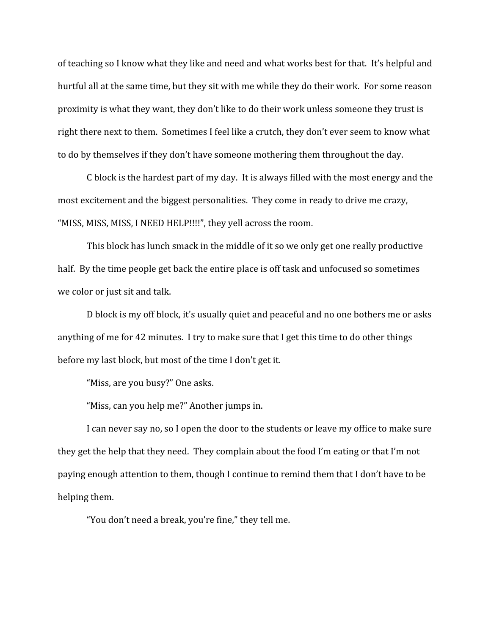of teaching so I know what they like and need and what works best for that. It's helpful and hurtful all at the same time, but they sit with me while they do their work. For some reason proximity is what they want, they don't like to do their work unless someone they trust is right there next to them. Sometimes I feel like a crutch, they don't ever seem to know what to do by themselves if they don't have someone mothering them throughout the day.

C block is the hardest part of my day. It is always filled with the most energy and the most excitement and the biggest personalities. They come in ready to drive me crazy, "MISS, MISS, MISS, I NEED HELP!!!!", they yell across the room.

This block has lunch smack in the middle of it so we only get one really productive half. By the time people get back the entire place is off task and unfocused so sometimes we color or just sit and talk.

D block is my off block, it's usually quiet and peaceful and no one bothers me or asks anything of me for 42 minutes. I try to make sure that I get this time to do other things before my last block, but most of the time I don't get it.

"Miss, are you busy?" One asks.

"Miss, can you help me?" Another jumps in.

I can never say no, so I open the door to the students or leave my office to make sure they get the help that they need. They complain about the food I'm eating or that I'm not paying enough attention to them, though I continue to remind them that I don't have to be helping them.

"You don't need a break, you're fine," they tell me.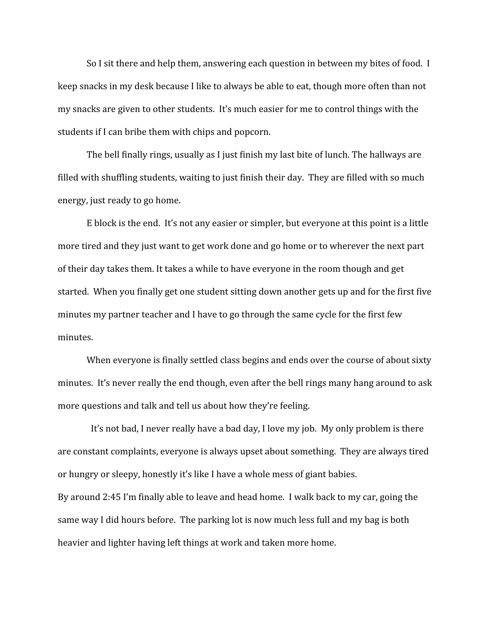So I sit there and help them, answering each question in between my bites of food. I keep snacks in my desk because I like to always be able to eat, though more often than not my snacks are given to other students. It's much easier for me to control things with the students if I can bribe them with chips and popcorn.

The bell finally rings, usually as I just finish my last bite of lunch. The hallways are filled with shuffling students, waiting to just finish their day. They are filled with so much energy, just ready to go home.

E block is the end. It's not any easier or simpler, but everyone at this point is a little more tired and they just want to get work done and go home or to wherever the next part of their day takes them. It takes a while to have everyone in the room though and get started. When you finally get one student sitting down another gets up and for the first five minutes my partner teacher and I have to go through the same cycle for the first few minutes.

When everyone is finally settled class begins and ends over the course of about sixty minutes. It's never really the end though, even after the bell rings many hang around to ask more questions and talk and tell us about how they're feeling.

 It's not bad, I never really have a bad day, I love my job. My only problem is there are constant complaints, everyone is always upset about something. They are always tired or hungry or sleepy, honestly it's like I have a whole mess of giant babies. By around 2:45 I'm finally able to leave and head home. I walk back to my car, going the same way I did hours before. The parking lot is now much less full and my bag is both heavier and lighter having left things at work and taken more home.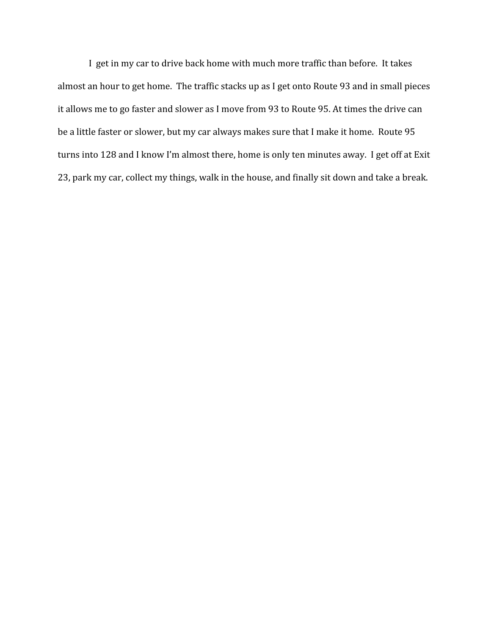I get in my car to drive back home with much more traffic than before. It takes almost an hour to get home. The traffic stacks up as I get onto Route 93 and in small pieces it allows me to go faster and slower as I move from 93 to Route 95. At times the drive can be a little faster or slower, but my car always makes sure that I make it home. Route 95 turns into 128 and I know I'm almost there, home is only ten minutes away. I get off at Exit 23, park my car, collect my things, walk in the house, and finally sit down and take a break.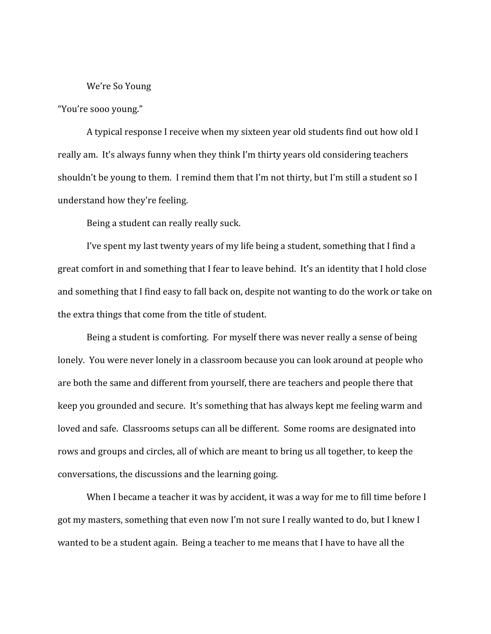#### We're So Young

"You're sooo young."

A typical response I receive when my sixteen year old students find out how old I really am. It's always funny when they think I'm thirty years old considering teachers shouldn't be young to them. I remind them that I'm not thirty, but I'm still a student so I understand how they're feeling.

Being a student can really really suck.

I've spent my last twenty years of my life being a student, something that I find a great comfort in and something that I fear to leave behind. It's an identity that I hold close and something that I find easy to fall back on, despite not wanting to do the work or take on the extra things that come from the title of student.

Being a student is comforting. For myself there was never really a sense of being lonely. You were never lonely in a classroom because you can look around at people who are both the same and different from yourself, there are teachers and people there that keep you grounded and secure. It's something that has always kept me feeling warm and loved and safe. Classrooms setups can all be different. Some rooms are designated into rows and groups and circles, all of which are meant to bring us all together, to keep the conversations, the discussions and the learning going.

When I became a teacher it was by accident, it was a way for me to fill time before I got my masters, something that even now I'm not sure I really wanted to do, but I knew I wanted to be a student again. Being a teacher to me means that I have to have all the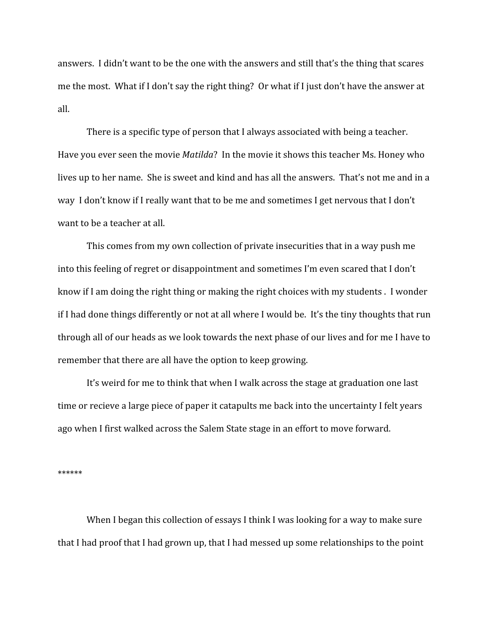answers. I didn't want to be the one with the answers and still that's the thing that scares me the most. What if I don't say the right thing? Or what if I just don't have the answer at all.

There is a specific type of person that I always associated with being a teacher. Have you ever seen the movie *Matilda*? In the movie it shows this teacher Ms. Honey who lives up to her name. She is sweet and kind and has all the answers. That's not me and in a way I don't know if I really want that to be me and sometimes I get nervous that I don't want to be a teacher at all.

This comes from my own collection of private insecurities that in a way push me into this feeling of regret or disappointment and sometimes I'm even scared that I don't know if I am doing the right thing or making the right choices with my students . I wonder if I had done things differently or not at all where I would be. It's the tiny thoughts that run through all of our heads as we look towards the next phase of our lives and for me I have to remember that there are all have the option to keep growing.

It's weird for me to think that when I walk across the stage at graduation one last time or recieve a large piece of paper it catapults me back into the uncertainty I felt years ago when I first walked across the Salem State stage in an effort to move forward.

\*\*\*\*\*\*

When I began this collection of essays I think I was looking for a way to make sure that I had proof that I had grown up, that I had messed up some relationships to the point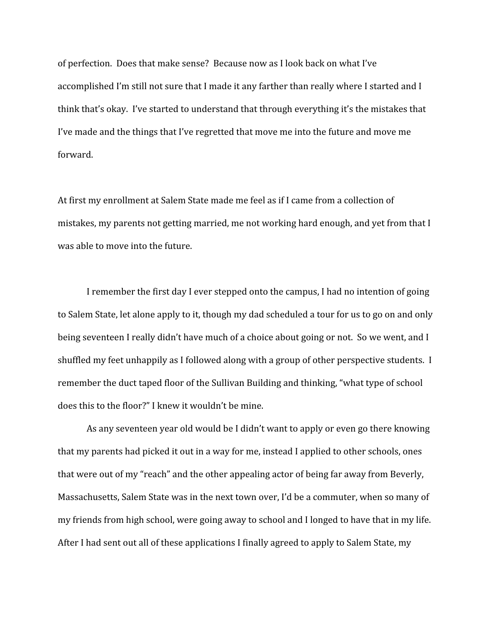of perfection. Does that make sense? Because now as I look back on what I've accomplished I'm still not sure that I made it any farther than really where I started and I think that's okay. I've started to understand that through everything it's the mistakes that I've made and the things that I've regretted that move me into the future and move me forward.

At first my enrollment at Salem State made me feel as if I came from a collection of mistakes, my parents not getting married, me not working hard enough, and yet from that I was able to move into the future.

I remember the first day I ever stepped onto the campus, I had no intention of going to Salem State, let alone apply to it, though my dad scheduled a tour for us to go on and only being seventeen I really didn't have much of a choice about going or not. So we went, and I shuffled my feet unhappily as I followed along with a group of other perspective students. I remember the duct taped floor of the Sullivan Building and thinking, "what type of school does this to the floor?" I knew it wouldn't be mine.

As any seventeen year old would be I didn't want to apply or even go there knowing that my parents had picked it out in a way for me, instead I applied to other schools, ones that were out of my "reach" and the other appealing actor of being far away from Beverly, Massachusetts, Salem State was in the next town over, I'd be a commuter, when so many of my friends from high school, were going away to school and I longed to have that in my life. After I had sent out all of these applications I finally agreed to apply to Salem State, my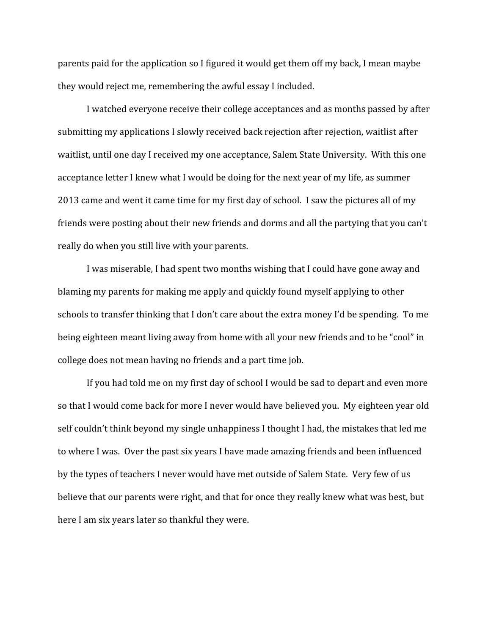parents paid for the application so I figured it would get them off my back, I mean maybe they would reject me, remembering the awful essay I included.

I watched everyone receive their college acceptances and as months passed by after submitting my applications I slowly received back rejection after rejection, waitlist after waitlist, until one day I received my one acceptance, Salem State University. With this one acceptance letter I knew what I would be doing for the next year of my life, as summer 2013 came and went it came time for my first day of school. I saw the pictures all of my friends were posting about their new friends and dorms and all the partying that you can't really do when you still live with your parents.

I was miserable, I had spent two months wishing that I could have gone away and blaming my parents for making me apply and quickly found myself applying to other schools to transfer thinking that I don't care about the extra money I'd be spending. To me being eighteen meant living away from home with all your new friends and to be "cool" in college does not mean having no friends and a part time job.

If you had told me on my first day of school I would be sad to depart and even more so that I would come back for more I never would have believed you. My eighteen year old self couldn't think beyond my single unhappiness I thought I had, the mistakes that led me to where I was. Over the past six years I have made amazing friends and been influenced by the types of teachers I never would have met outside of Salem State. Very few of us believe that our parents were right, and that for once they really knew what was best, but here I am six years later so thankful they were.